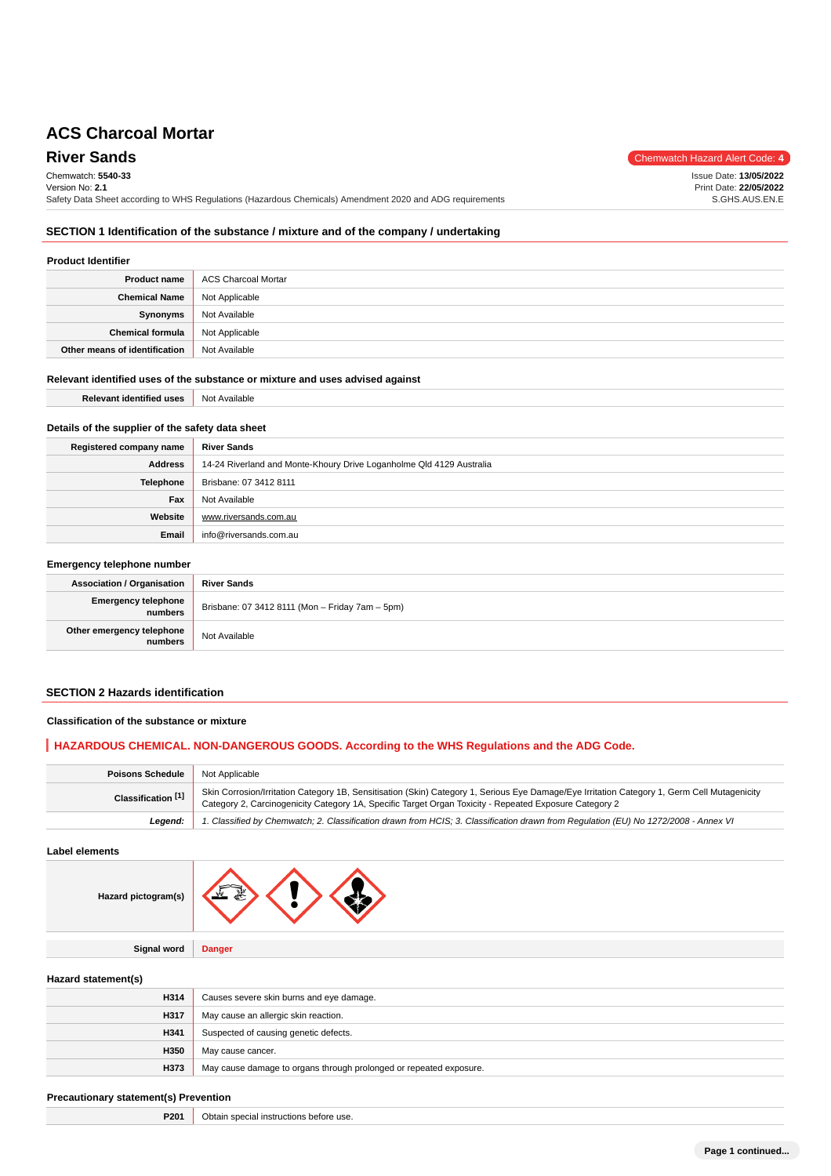**River Sands** Chemwatch Hazard Alert Code: 4 Chemwatch: **5540-33** Version No: **2.1** Safety Data Sheet according to WHS Regulations (Hazardous Chemicals) Amendment 2020 and ADG requirements Issue Date: **13/05/2022** Print Date: **22/05/2022** S.GHS.AUS.EN.E

## **SECTION 1 Identification of the substance / mixture and of the company / undertaking**

## **Product Identifier**

| <b>Product name</b>           | ACS Charcoal Mortar |
|-------------------------------|---------------------|
| <b>Chemical Name</b>          | Not Applicable      |
| Synonyms                      | Not Available       |
| <b>Chemical formula</b>       | Not Applicable      |
| Other means of identification | Not Available       |

## **Relevant identified uses of the substance or mixture and uses advised against**

| Relevant identified uses Not Available |  |
|----------------------------------------|--|
|----------------------------------------|--|

## **Details of the supplier of the safety data sheet**

| Registered company name | <b>River Sands</b>                                                   |
|-------------------------|----------------------------------------------------------------------|
| Address                 | 14-24 Riverland and Monte-Khoury Drive Loganholme Qld 4129 Australia |
| Telephone               | Brisbane: 07 3412 8111                                               |
| Fax                     | Not Available                                                        |
| Website                 | www.riversands.com.au                                                |
| Email                   | info@riversands.com.au                                               |

## **Emergency telephone number**

| <b>Association / Organisation</b>     | <b>River Sands</b>                              |
|---------------------------------------|-------------------------------------------------|
| <b>Emergency telephone</b><br>numbers | Brisbane: 07 3412 8111 (Mon - Friday 7am - 5pm) |
| Other emergency telephone<br>numbers  | Not Available                                   |

## **SECTION 2 Hazards identification**

#### **Classification of the substance or mixture**

## **HAZARDOUS CHEMICAL. NON-DANGEROUS GOODS. According to the WHS Regulations and the ADG Code.**

| <b>Poisons Schedule</b>       | Not Applicable                                                                                                                                                                                                                                         |
|-------------------------------|--------------------------------------------------------------------------------------------------------------------------------------------------------------------------------------------------------------------------------------------------------|
| Classification <sup>[1]</sup> | Skin Corrosion/Irritation Category 1B, Sensitisation (Skin) Category 1, Serious Eye Damage/Eye Irritation Category 1, Germ Cell Mutagenicity<br>Category 2, Carcinogenicity Category 1A, Specific Target Organ Toxicity - Repeated Exposure Category 2 |
| Leaend:                       | 1. Classified by Chemwatch; 2. Classification drawn from HCIS; 3. Classification drawn from Requlation (EU) No 1272/2008 - Annex VI                                                                                                                    |

**Label elements**

| ctogram(s) |  |  |  |
|------------|--|--|--|
|------------|--|--|--|

**Signal word Danger**

**Hazard pi** 

**Hazard statement(s)**

| ------------------------ |                                                                    |
|--------------------------|--------------------------------------------------------------------|
| H314                     | Causes severe skin burns and eye damage.                           |
| H317                     | May cause an allergic skin reaction.                               |
| H341                     | Suspected of causing genetic defects.                              |
| H350                     | May cause cancer.                                                  |
| H373                     | May cause damage to organs through prolonged or repeated exposure. |

## **Precautionary statement(s) Prevention**

**P201** Obtain special instructions before use.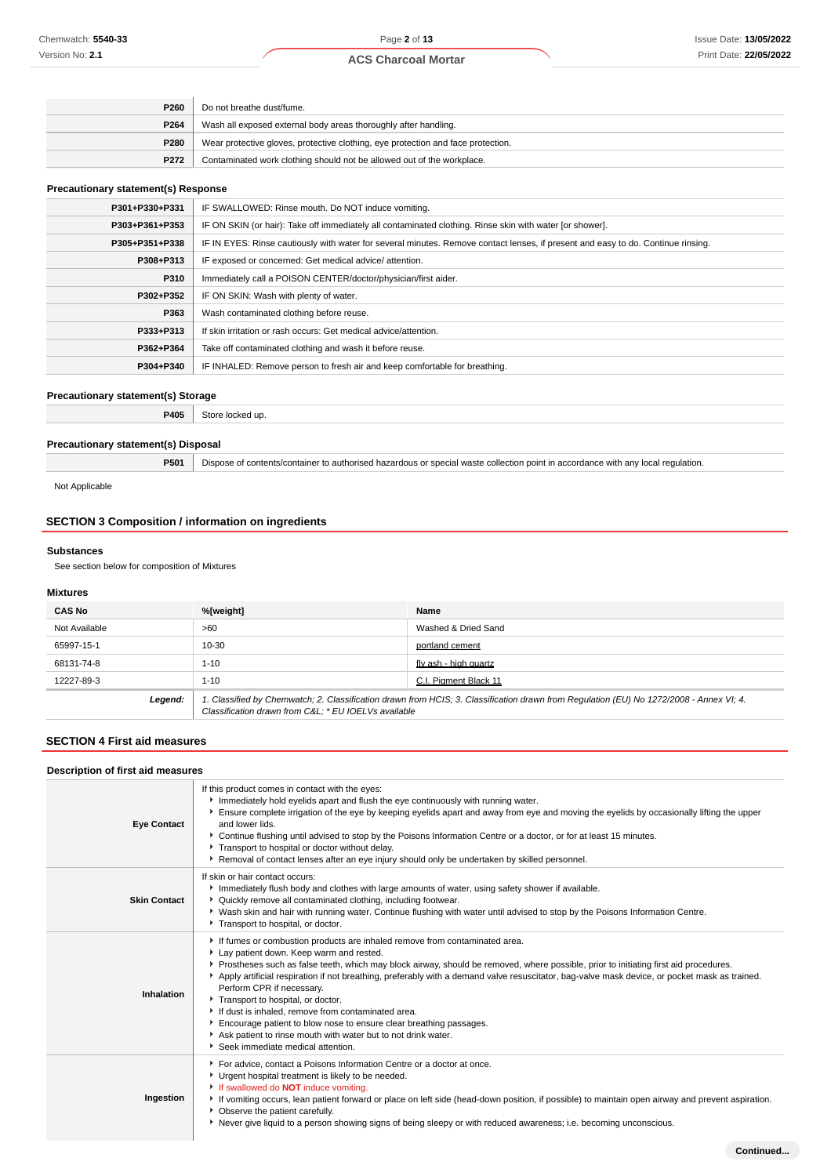| P <sub>260</sub> | Do not breathe dust/fume.                                                        |
|------------------|----------------------------------------------------------------------------------|
| P264             | Wash all exposed external body areas thoroughly after handling.                  |
| P280             | Wear protective gloves, protective clothing, eye protection and face protection. |
| P272             | Contaminated work clothing should not be allowed out of the workplace.           |

#### **Precautionary statement(s) Response**

| P301+P330+P331 | IF SWALLOWED: Rinse mouth. Do NOT induce vomiting.                                                                               |
|----------------|----------------------------------------------------------------------------------------------------------------------------------|
| P303+P361+P353 | IF ON SKIN (or hair): Take off immediately all contaminated clothing. Rinse skin with water [or shower].                         |
| P305+P351+P338 | IF IN EYES: Rinse cautiously with water for several minutes. Remove contact lenses, if present and easy to do. Continue rinsing. |
| P308+P313      | IF exposed or concerned: Get medical advice/attention.                                                                           |
| P310           | Immediately call a POISON CENTER/doctor/physician/first aider.                                                                   |
| P302+P352      | IF ON SKIN: Wash with plenty of water.                                                                                           |
| P363           | Wash contaminated clothing before reuse.                                                                                         |
| P333+P313      | If skin irritation or rash occurs: Get medical advice/attention.                                                                 |
| P362+P364      | Take off contaminated clothing and wash it before reuse.                                                                         |
| P304+P340      | IF INHALED: Remove person to fresh air and keep comfortable for breathing.                                                       |
|                |                                                                                                                                  |

## **Precautionary statement(s) Storage**

**P405** Store locked up.

## **Precautionary statement(s) Disposal**

**P501** Dispose of contents/container to authorised hazardous or special waste collection point in accordance with any local regulation.

Not Applicable

## **SECTION 3 Composition / information on ingredients**

#### **Substances**

See section below for composition of Mixtures

## **Mixtures**

| <b>CAS No</b> | %[weight]                                                                                                                                                                                      | Name                  |
|---------------|------------------------------------------------------------------------------------------------------------------------------------------------------------------------------------------------|-----------------------|
| Not Available | >60                                                                                                                                                                                            | Washed & Dried Sand   |
| 65997-15-1    | 10-30                                                                                                                                                                                          | portland cement       |
| 68131-74-8    | $1 - 10$                                                                                                                                                                                       | fly ash - high quartz |
| 12227-89-3    | $1 - 10$                                                                                                                                                                                       | C.I. Pigment Black 11 |
| Legend:       | 1. Classified by Chemwatch; 2. Classification drawn from HCIS; 3. Classification drawn from Requlation (EU) No 1272/2008 - Annex VI; 4.<br>Classification drawn from C&L * EU IOELVs available |                       |

## **SECTION 4 First aid measures**

#### **Description of first aid measures**

| Description of first ald measures |                                                                                                                                                                                                                                                                                                                                                                                                                                                                                                                                                                                                                                                                                                                    |  |
|-----------------------------------|--------------------------------------------------------------------------------------------------------------------------------------------------------------------------------------------------------------------------------------------------------------------------------------------------------------------------------------------------------------------------------------------------------------------------------------------------------------------------------------------------------------------------------------------------------------------------------------------------------------------------------------------------------------------------------------------------------------------|--|
| <b>Eye Contact</b>                | If this product comes in contact with the eyes:<br>Immediately hold eyelids apart and flush the eye continuously with running water.<br>Ensure complete irrigation of the eye by keeping eyelids apart and away from eye and moving the eyelids by occasionally lifting the upper<br>and lower lids.<br>▶ Continue flushing until advised to stop by the Poisons Information Centre or a doctor, or for at least 15 minutes.<br>Transport to hospital or doctor without delay.<br>▶ Removal of contact lenses after an eye injury should only be undertaken by skilled personnel.                                                                                                                                  |  |
| <b>Skin Contact</b>               | If skin or hair contact occurs:<br>Immediately flush body and clothes with large amounts of water, using safety shower if available.<br>▶ Quickly remove all contaminated clothing, including footwear.<br>▶ Wash skin and hair with running water. Continue flushing with water until advised to stop by the Poisons Information Centre.<br>Transport to hospital, or doctor.                                                                                                                                                                                                                                                                                                                                     |  |
| Inhalation                        | If fumes or combustion products are inhaled remove from contaminated area.<br>Lay patient down. Keep warm and rested.<br>Prostheses such as false teeth, which may block airway, should be removed, where possible, prior to initiating first aid procedures.<br>Apply artificial respiration if not breathing, preferably with a demand valve resuscitator, bag-valve mask device, or pocket mask as trained.<br>Perform CPR if necessary.<br>Transport to hospital, or doctor.<br>If dust is inhaled, remove from contaminated area.<br>Encourage patient to blow nose to ensure clear breathing passages.<br>Ask patient to rinse mouth with water but to not drink water.<br>Seek immediate medical attention. |  |
| Ingestion                         | For advice, contact a Poisons Information Centre or a doctor at once.<br>Urgent hospital treatment is likely to be needed.<br>If swallowed do <b>NOT</b> induce vomiting.<br>If vomiting occurs, lean patient forward or place on left side (head-down position, if possible) to maintain open airway and prevent aspiration.<br>• Observe the patient carefully.<br>Never give liquid to a person showing signs of being sleepy or with reduced awareness; i.e. becoming unconscious.                                                                                                                                                                                                                             |  |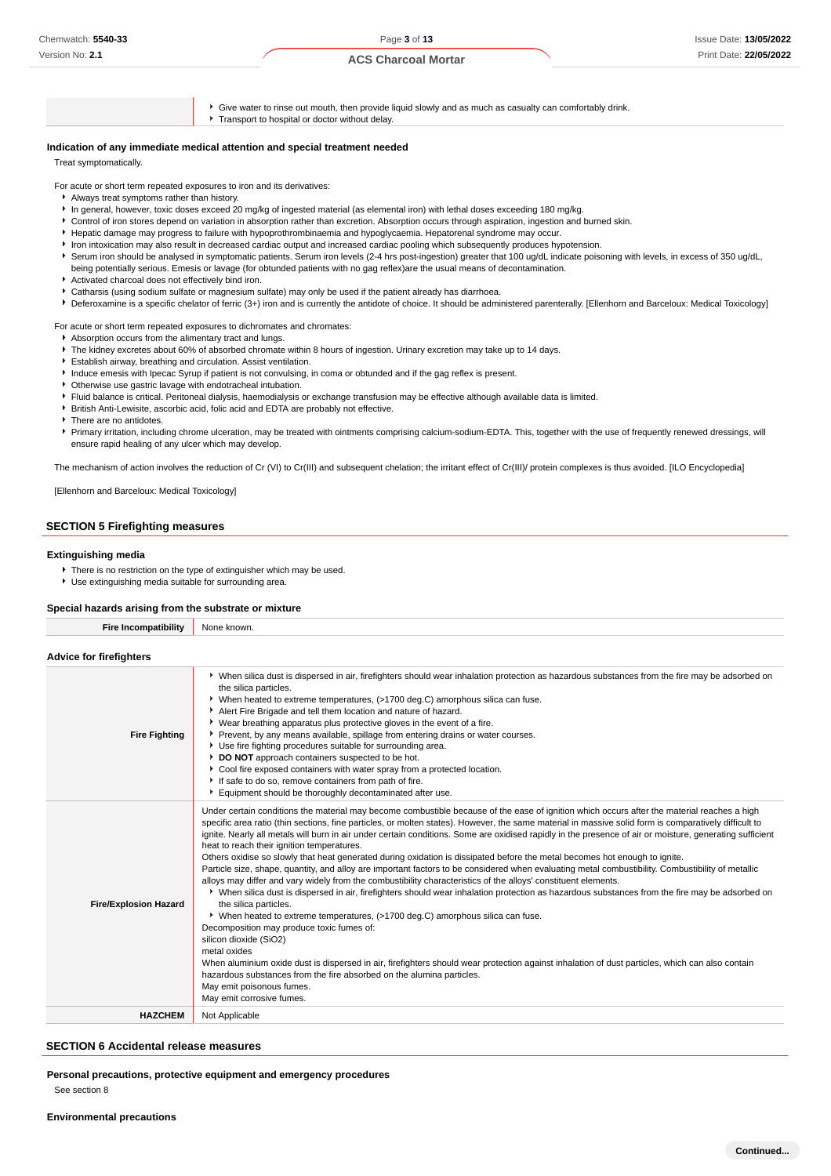- Give water to rinse out mouth, then provide liquid slowly and as much as casualty can comfortably drink. **Transport to hospital or doctor without delay. Indication of any immediate medical attention and special treatment needed** Treat symptomatically. For acute or short term repeated exposures to iron and its derivatives: Always treat symptoms rather than history. In general, however, toxic doses exceed 20 mg/kg of ingested material (as elemental iron) with lethal doses exceeding 180 mg/kg. Control of iron stores depend on variation in absorption rather than excretion. Absorption occurs through aspiration, ingestion and burned skin. Hepatic damage may progress to failure with hypoprothrombinaemia and hypoglycaemia. Hepatorenal syndrome may occur. Iron intoxication may also result in decreased cardiac output and increased cardiac pooling which subsequently produces hypotension.
	- Serum iron should be analysed in symptomatic patients. Serum iron levels (2-4 hrs post-ingestion) greater that 100 ug/dL indicate poisoning with levels, in excess of 350 ug/dL, being potentially serious. Emesis or lavage (for obtunded patients with no gag reflex)are the usual means of decontamination.
	- Activated charcoal does not effectively bind iron.
	- Catharsis (using sodium sulfate or magnesium sulfate) may only be used if the patient already has diarrhoea.
	- ▶ Deferoxamine is a specific chelator of ferric (3+) iron and is currently the antidote of choice. It should be administered parenterally. [Ellenhorn and Barceloux: Medical Toxicology]

For acute or short term repeated exposures to dichromates and chromates:

- Absorption occurs from the alimentary tract and lungs.
- The kidney excretes about 60% of absorbed chromate within 8 hours of ingestion. Urinary excretion may take up to 14 days.
- Establish airway, breathing and circulation. Assist ventilation.
- Induce emesis with Ipecac Syrup if patient is not convulsing, in coma or obtunded and if the gag reflex is present.
- Otherwise use gastric lavage with endotracheal intubation.
- Fluid balance is critical. Peritoneal dialysis, haemodialysis or exchange transfusion may be effective although available data is limited.
- British Anti-Lewisite, ascorbic acid, folic acid and EDTA are probably not effective.
- **There are no antidotes.**
- Primary irritation, including chrome ulceration, may be treated with ointments comprising calcium-sodium-EDTA. This, together with the use of frequently renewed dressings, will ensure rapid healing of any ulcer which may develop.

The mechanism of action involves the reduction of Cr (VI) to Cr(III) and subsequent chelation; the irritant effect of Cr(III)/ protein complexes is thus avoided. [ILO Encyclopedia]

#### [Ellenhorn and Barceloux: Medical Toxicology]

## **SECTION 5 Firefighting measures**

#### **Extinguishing media**

**Advice for firefighters**

- There is no restriction on the type of extinguisher which may be used.
- Use extinguishing media suitable for surrounding area.

#### **Special hazards arising from the substrate or mixture**

**Fire Incompatibility** None known.

| <b>Fire Fighting</b>         | ▶ When silica dust is dispersed in air, firefighters should wear inhalation protection as hazardous substances from the fire may be adsorbed on<br>the silica particles.<br>▶ When heated to extreme temperatures, (>1700 deg.C) amorphous silica can fuse.<br>Alert Fire Brigade and tell them location and nature of hazard.<br>▶ Wear breathing apparatus plus protective gloves in the event of a fire.<br>Prevent, by any means available, spillage from entering drains or water courses.<br>Use fire fighting procedures suitable for surrounding area.<br>DO NOT approach containers suspected to be hot.<br>Cool fire exposed containers with water spray from a protected location.<br>If safe to do so, remove containers from path of fire.<br>Equipment should be thoroughly decontaminated after use.                                                                                                                                                                                                                                                                                                                                                                                                                                                                                                                                                                                                                                                                                                                                             |
|------------------------------|-----------------------------------------------------------------------------------------------------------------------------------------------------------------------------------------------------------------------------------------------------------------------------------------------------------------------------------------------------------------------------------------------------------------------------------------------------------------------------------------------------------------------------------------------------------------------------------------------------------------------------------------------------------------------------------------------------------------------------------------------------------------------------------------------------------------------------------------------------------------------------------------------------------------------------------------------------------------------------------------------------------------------------------------------------------------------------------------------------------------------------------------------------------------------------------------------------------------------------------------------------------------------------------------------------------------------------------------------------------------------------------------------------------------------------------------------------------------------------------------------------------------------------------------------------------------|
| <b>Fire/Explosion Hazard</b> | Under certain conditions the material may become combustible because of the ease of ignition which occurs after the material reaches a high<br>specific area ratio (thin sections, fine particles, or molten states). However, the same material in massive solid form is comparatively difficult to<br>ignite. Nearly all metals will burn in air under certain conditions. Some are oxidised rapidly in the presence of air or moisture, generating sufficient<br>heat to reach their ignition temperatures.<br>Others oxidise so slowly that heat generated during oxidation is dissipated before the metal becomes hot enough to ignite.<br>Particle size, shape, quantity, and alloy are important factors to be considered when evaluating metal combustibility. Combustibility of metallic<br>alloys may differ and vary widely from the combustibility characteristics of the alloys' constituent elements.<br>▶ When silica dust is dispersed in air, firefighters should wear inhalation protection as hazardous substances from the fire may be adsorbed on<br>the silica particles.<br>▶ When heated to extreme temperatures, (>1700 deg.C) amorphous silica can fuse.<br>Decomposition may produce toxic fumes of:<br>silicon dioxide (SiO2)<br>metal oxides<br>When aluminium oxide dust is dispersed in air, firefighters should wear protection against inhalation of dust particles, which can also contain<br>hazardous substances from the fire absorbed on the alumina particles.<br>May emit poisonous fumes.<br>May emit corrosive fumes. |
| <b>HAZCHEM</b>               | Not Applicable                                                                                                                                                                                                                                                                                                                                                                                                                                                                                                                                                                                                                                                                                                                                                                                                                                                                                                                                                                                                                                                                                                                                                                                                                                                                                                                                                                                                                                                                                                                                                  |

### **SECTION 6 Accidental release measures**

**Personal precautions, protective equipment and emergency procedures** See section 8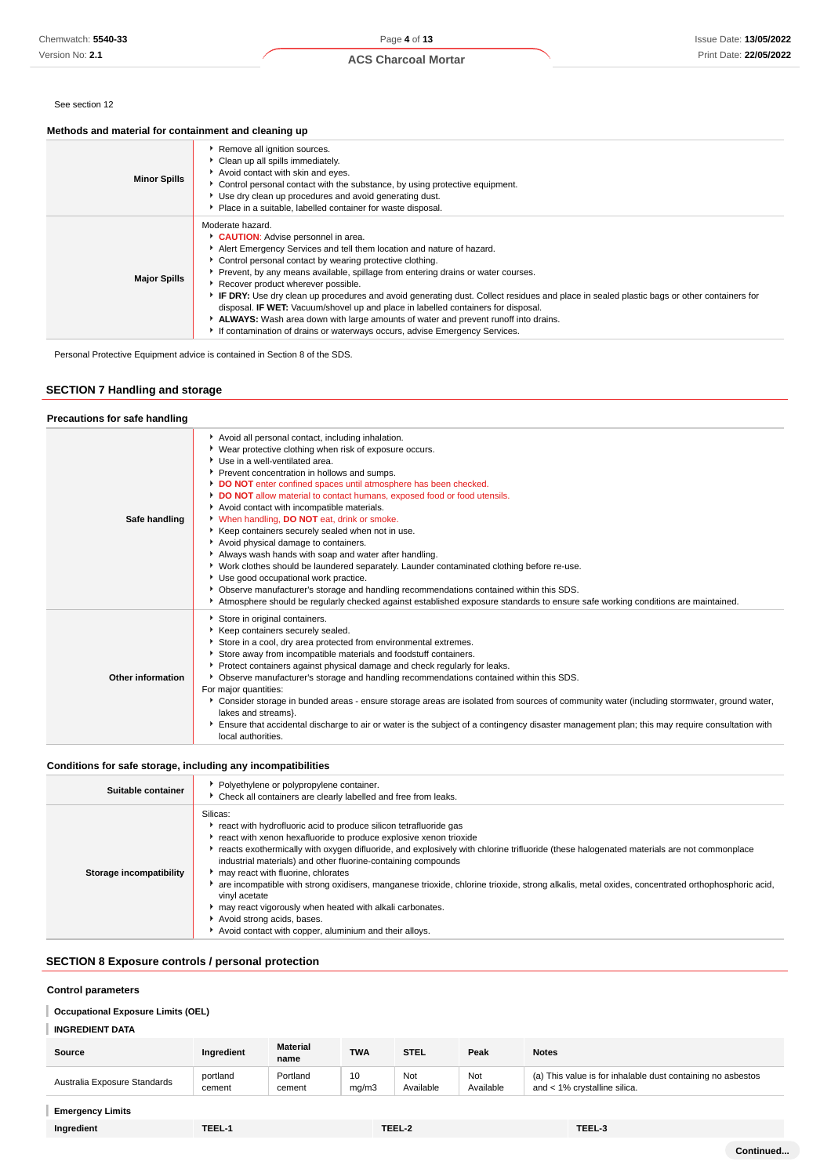Version No: **2.1**

## **ACS Charcoal Mortar**

#### See section 12

#### **Methods and material for containment and cleaning up**

| <b>Minor Spills</b> | Remove all ignition sources.<br>Clean up all spills immediately.<br>Avoid contact with skin and eyes.<br>• Control personal contact with the substance, by using protective equipment.<br>Use dry clean up procedures and avoid generating dust.<br>• Place in a suitable, labelled container for waste disposal.                                                                                                                                                                                                                                                                                                                                                                                                                |
|---------------------|----------------------------------------------------------------------------------------------------------------------------------------------------------------------------------------------------------------------------------------------------------------------------------------------------------------------------------------------------------------------------------------------------------------------------------------------------------------------------------------------------------------------------------------------------------------------------------------------------------------------------------------------------------------------------------------------------------------------------------|
| <b>Major Spills</b> | Moderate hazard.<br>CAUTION: Advise personnel in area.<br>Alert Emergency Services and tell them location and nature of hazard.<br>• Control personal contact by wearing protective clothing.<br>▶ Prevent, by any means available, spillage from entering drains or water courses.<br>Recover product wherever possible.<br>► IF DRY: Use dry clean up procedures and avoid generating dust. Collect residues and place in sealed plastic bags or other containers for<br>disposal. IF WET: Vacuum/shovel up and place in labelled containers for disposal.<br>ALWAYS: Wash area down with large amounts of water and prevent runoff into drains.<br>If contamination of drains or waterways occurs, advise Emergency Services. |

Personal Protective Equipment advice is contained in Section 8 of the SDS.

## **SECTION 7 Handling and storage**

#### **Precautions for safe handling Safe handling** Avoid all personal contact, including inhalation. Wear protective clothing when risk of exposure occurs. ▶ Use in a well-ventilated area. Prevent concentration in hollows and sumps. **DO NOT** enter confined spaces until atmosphere has been checked. **DO NOT** allow material to contact humans, exposed food or food utensils. Avoid contact with incompatible materials. When handling, **DO NOT** eat, drink or smoke. Keep containers securely sealed when not in use. Avoid physical damage to containers. Always wash hands with soap and water after handling. Work clothes should be laundered separately. Launder contaminated clothing before re-use. Use good occupational work practice. Observe manufacturer's storage and handling recommendations contained within this SDS. Atmosphere should be regularly checked against established exposure standards to ensure safe working conditions are maintained. **Other information** Store in original containers. Keep containers securely sealed. Store in a cool, dry area protected from environmental extremes. Store away from incompatible materials and foodstuff containers. **Protect containers against physical damage and check regularly for leaks.** Observe manufacturer's storage and handling recommendations contained within this SDS. For major quantities: Consider storage in bunded areas - ensure storage areas are isolated from sources of community water (including stormwater, ground water, lakes and streams}. Ensure that accidental discharge to air or water is the subject of a contingency disaster management plan; this may require consultation with local authorities

#### **Conditions for safe storage, including any incompatibilities**

| Suitable container      | Polyethylene or polypropylene container.<br>Check all containers are clearly labelled and free from leaks.                                                                                                                                                                                                                                                                                                                                                                                                                                                                                                                                                                                                                    |
|-------------------------|-------------------------------------------------------------------------------------------------------------------------------------------------------------------------------------------------------------------------------------------------------------------------------------------------------------------------------------------------------------------------------------------------------------------------------------------------------------------------------------------------------------------------------------------------------------------------------------------------------------------------------------------------------------------------------------------------------------------------------|
| Storage incompatibility | Silicas:<br>react with hydrofluoric acid to produce silicon tetrafluoride gas<br>react with xenon hexafluoride to produce explosive xenon trioxide<br>reacts exothermically with oxygen difluoride, and explosively with chlorine trifluoride (these halogenated materials are not commonplace<br>industrial materials) and other fluorine-containing compounds<br>may react with fluorine, chlorates<br>are incompatible with strong oxidisers, manganese trioxide, chlorine trioxide, strong alkalis, metal oxides, concentrated orthophosphoric acid,<br>vinyl acetate<br>may react vigorously when heated with alkali carbonates.<br>Avoid strong acids, bases.<br>Avoid contact with copper, aluminium and their alloys. |

#### **SECTION 8 Exposure controls / personal protection**

#### **Control parameters**

## **Occupational Exposure Limits (OEL)**

## **INGREDIENT DATA**

| Source                       | Ingredient | <b>Material</b><br>name | <b>TWA</b> | <b>STEL</b> | Peak      | <b>Notes</b>                                                |
|------------------------------|------------|-------------------------|------------|-------------|-----------|-------------------------------------------------------------|
| Australia Exposure Standards | portland   | Portland                | 10         | Not         | Not       | (a) This value is for inhalable dust containing no asbestos |
|                              | cement     | cement                  | mq/m3      | Available   | Available | and < 1% crystalline silica.                                |

## **Emergency Limits**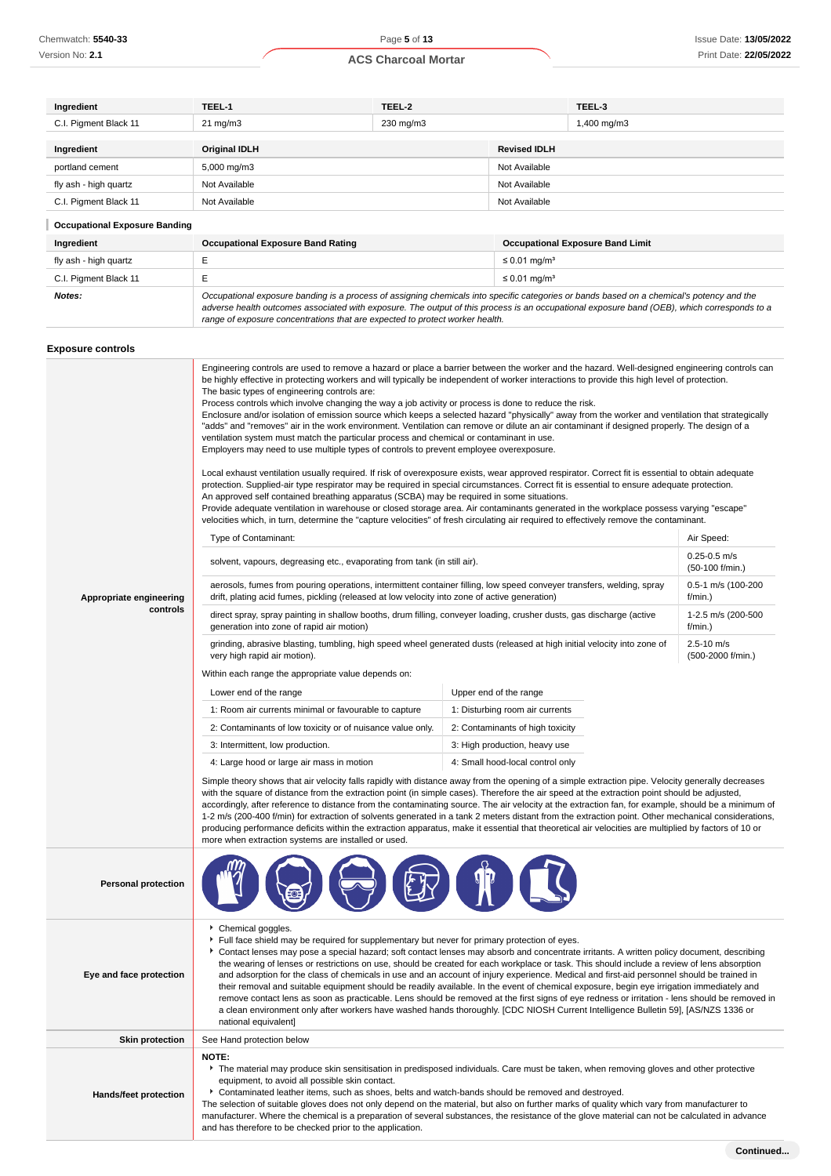| Ingredient                           | TEEL-1                                   | TEEL-2    |                               | TEEL-3                                                                                                                                    |  |
|--------------------------------------|------------------------------------------|-----------|-------------------------------|-------------------------------------------------------------------------------------------------------------------------------------------|--|
| C.I. Pigment Black 11                | $21 \text{ mg/m}$                        | 230 mg/m3 |                               | 1,400 mg/m3                                                                                                                               |  |
|                                      |                                          |           |                               |                                                                                                                                           |  |
| Ingredient                           | <b>Original IDLH</b>                     |           | <b>Revised IDLH</b>           |                                                                                                                                           |  |
| portland cement                      | 5,000 mg/m3                              |           |                               | Not Available                                                                                                                             |  |
| fly ash - high quartz                | Not Available                            |           | Not Available                 |                                                                                                                                           |  |
| C.I. Pigment Black 11                | Not Available                            |           | Not Available                 |                                                                                                                                           |  |
| <b>Occupational Exposure Banding</b> |                                          |           |                               |                                                                                                                                           |  |
| Ingredient                           | <b>Occupational Exposure Band Rating</b> |           |                               | <b>Occupational Exposure Band Limit</b>                                                                                                   |  |
| fly ash - high quartz                | E                                        |           | $\leq$ 0.01 mg/m <sup>3</sup> |                                                                                                                                           |  |
| C.I. Pigment Black 11                | Е                                        |           |                               |                                                                                                                                           |  |
| Notes:                               |                                          |           |                               | Occupational exposure banding is a process of assigning chemicals into specific categories or bands based on a chemical's potency and the |  |

range of exposure concentrations that are expected to protect worker health.

adverse health outcomes associated with exposure. The output of this process is an occupational exposure band (OEB), which corresponds to a

| Exposure controls          |                                                                                                                                                                                                                                                                                                                                                                                                                                                                                                                                                                                                                                                                                                                                                                                                                                                                                                                                                                                                                                                                                                                                                                                                                                                                                                                                                                                                                                                                                                                                                                                                                                     |                                  |                                     |  |  |
|----------------------------|-------------------------------------------------------------------------------------------------------------------------------------------------------------------------------------------------------------------------------------------------------------------------------------------------------------------------------------------------------------------------------------------------------------------------------------------------------------------------------------------------------------------------------------------------------------------------------------------------------------------------------------------------------------------------------------------------------------------------------------------------------------------------------------------------------------------------------------------------------------------------------------------------------------------------------------------------------------------------------------------------------------------------------------------------------------------------------------------------------------------------------------------------------------------------------------------------------------------------------------------------------------------------------------------------------------------------------------------------------------------------------------------------------------------------------------------------------------------------------------------------------------------------------------------------------------------------------------------------------------------------------------|----------------------------------|-------------------------------------|--|--|
|                            | Engineering controls are used to remove a hazard or place a barrier between the worker and the hazard. Well-designed engineering controls can<br>be highly effective in protecting workers and will typically be independent of worker interactions to provide this high level of protection.<br>The basic types of engineering controls are:<br>Process controls which involve changing the way a job activity or process is done to reduce the risk.<br>Enclosure and/or isolation of emission source which keeps a selected hazard "physically" away from the worker and ventilation that strategically<br>"adds" and "removes" air in the work environment. Ventilation can remove or dilute an air contaminant if designed properly. The design of a<br>ventilation system must match the particular process and chemical or contaminant in use.<br>Employers may need to use multiple types of controls to prevent employee overexposure.<br>Local exhaust ventilation usually required. If risk of overexposure exists, wear approved respirator. Correct fit is essential to obtain adequate<br>protection. Supplied-air type respirator may be required in special circumstances. Correct fit is essential to ensure adequate protection.<br>An approved self contained breathing apparatus (SCBA) may be required in some situations.<br>Provide adequate ventilation in warehouse or closed storage area. Air contaminants generated in the workplace possess varying "escape"<br>velocities which, in turn, determine the "capture velocities" of fresh circulating air required to effectively remove the contaminant. |                                  |                                     |  |  |
|                            | Type of Contaminant:                                                                                                                                                                                                                                                                                                                                                                                                                                                                                                                                                                                                                                                                                                                                                                                                                                                                                                                                                                                                                                                                                                                                                                                                                                                                                                                                                                                                                                                                                                                                                                                                                |                                  | Air Speed:<br>$0.25 - 0.5$ m/s      |  |  |
|                            | solvent, vapours, degreasing etc., evaporating from tank (in still air).                                                                                                                                                                                                                                                                                                                                                                                                                                                                                                                                                                                                                                                                                                                                                                                                                                                                                                                                                                                                                                                                                                                                                                                                                                                                                                                                                                                                                                                                                                                                                            |                                  | (50-100 f/min.)                     |  |  |
| Appropriate engineering    | aerosols, fumes from pouring operations, intermittent container filling, low speed conveyer transfers, welding, spray<br>drift, plating acid fumes, pickling (released at low velocity into zone of active generation)                                                                                                                                                                                                                                                                                                                                                                                                                                                                                                                                                                                                                                                                                                                                                                                                                                                                                                                                                                                                                                                                                                                                                                                                                                                                                                                                                                                                              |                                  | 0.5-1 m/s (100-200<br>f/min.)       |  |  |
| controls                   | direct spray, spray painting in shallow booths, drum filling, conveyer loading, crusher dusts, gas discharge (active<br>generation into zone of rapid air motion)                                                                                                                                                                                                                                                                                                                                                                                                                                                                                                                                                                                                                                                                                                                                                                                                                                                                                                                                                                                                                                                                                                                                                                                                                                                                                                                                                                                                                                                                   |                                  | 1-2.5 m/s (200-500<br>f/min.)       |  |  |
|                            | grinding, abrasive blasting, tumbling, high speed wheel generated dusts (released at high initial velocity into zone of<br>very high rapid air motion).                                                                                                                                                                                                                                                                                                                                                                                                                                                                                                                                                                                                                                                                                                                                                                                                                                                                                                                                                                                                                                                                                                                                                                                                                                                                                                                                                                                                                                                                             |                                  | $2.5 - 10$ m/s<br>(500-2000 f/min.) |  |  |
|                            | Within each range the appropriate value depends on:                                                                                                                                                                                                                                                                                                                                                                                                                                                                                                                                                                                                                                                                                                                                                                                                                                                                                                                                                                                                                                                                                                                                                                                                                                                                                                                                                                                                                                                                                                                                                                                 |                                  |                                     |  |  |
|                            | Upper end of the range<br>Lower end of the range                                                                                                                                                                                                                                                                                                                                                                                                                                                                                                                                                                                                                                                                                                                                                                                                                                                                                                                                                                                                                                                                                                                                                                                                                                                                                                                                                                                                                                                                                                                                                                                    |                                  |                                     |  |  |
|                            | 1: Room air currents minimal or favourable to capture<br>1: Disturbing room air currents                                                                                                                                                                                                                                                                                                                                                                                                                                                                                                                                                                                                                                                                                                                                                                                                                                                                                                                                                                                                                                                                                                                                                                                                                                                                                                                                                                                                                                                                                                                                            |                                  |                                     |  |  |
|                            | 2: Contaminants of low toxicity or of nuisance value only.<br>2: Contaminants of high toxicity                                                                                                                                                                                                                                                                                                                                                                                                                                                                                                                                                                                                                                                                                                                                                                                                                                                                                                                                                                                                                                                                                                                                                                                                                                                                                                                                                                                                                                                                                                                                      |                                  |                                     |  |  |
|                            | 3: Intermittent, low production.<br>3: High production, heavy use                                                                                                                                                                                                                                                                                                                                                                                                                                                                                                                                                                                                                                                                                                                                                                                                                                                                                                                                                                                                                                                                                                                                                                                                                                                                                                                                                                                                                                                                                                                                                                   |                                  |                                     |  |  |
|                            | 4: Large hood or large air mass in motion                                                                                                                                                                                                                                                                                                                                                                                                                                                                                                                                                                                                                                                                                                                                                                                                                                                                                                                                                                                                                                                                                                                                                                                                                                                                                                                                                                                                                                                                                                                                                                                           | 4: Small hood-local control only |                                     |  |  |
|                            | Simple theory shows that air velocity falls rapidly with distance away from the opening of a simple extraction pipe. Velocity generally decreases<br>with the square of distance from the extraction point (in simple cases). Therefore the air speed at the extraction point should be adjusted,<br>accordingly, after reference to distance from the contaminating source. The air velocity at the extraction fan, for example, should be a minimum of<br>1-2 m/s (200-400 f/min) for extraction of solvents generated in a tank 2 meters distant from the extraction point. Other mechanical considerations,<br>producing performance deficits within the extraction apparatus, make it essential that theoretical air velocities are multiplied by factors of 10 or<br>more when extraction systems are installed or used.                                                                                                                                                                                                                                                                                                                                                                                                                                                                                                                                                                                                                                                                                                                                                                                                      |                                  |                                     |  |  |
| <b>Personal protection</b> |                                                                                                                                                                                                                                                                                                                                                                                                                                                                                                                                                                                                                                                                                                                                                                                                                                                                                                                                                                                                                                                                                                                                                                                                                                                                                                                                                                                                                                                                                                                                                                                                                                     |                                  |                                     |  |  |
| Eye and face protection    | Chemical goggles.<br>Full face shield may be required for supplementary but never for primary protection of eyes.<br>Contact lenses may pose a special hazard; soft contact lenses may absorb and concentrate irritants. A written policy document, describing<br>the wearing of lenses or restrictions on use, should be created for each workplace or task. This should include a review of lens absorption<br>and adsorption for the class of chemicals in use and an account of injury experience. Medical and first-aid personnel should be trained in<br>their removal and suitable equipment should be readily available. In the event of chemical exposure, begin eye irrigation immediately and<br>remove contact lens as soon as practicable. Lens should be removed at the first signs of eye redness or irritation - lens should be removed in<br>a clean environment only after workers have washed hands thoroughly. [CDC NIOSH Current Intelligence Bulletin 59], [AS/NZS 1336 or<br>national equivalent]                                                                                                                                                                                                                                                                                                                                                                                                                                                                                                                                                                                                            |                                  |                                     |  |  |
| <b>Skin protection</b>     | See Hand protection below                                                                                                                                                                                                                                                                                                                                                                                                                                                                                                                                                                                                                                                                                                                                                                                                                                                                                                                                                                                                                                                                                                                                                                                                                                                                                                                                                                                                                                                                                                                                                                                                           |                                  |                                     |  |  |
| Hands/feet protection      | NOTE:<br>The material may produce skin sensitisation in predisposed individuals. Care must be taken, when removing gloves and other protective<br>equipment, to avoid all possible skin contact.<br>Contaminated leather items, such as shoes, belts and watch-bands should be removed and destroyed.<br>The selection of suitable gloves does not only depend on the material, but also on further marks of quality which vary from manufacturer to                                                                                                                                                                                                                                                                                                                                                                                                                                                                                                                                                                                                                                                                                                                                                                                                                                                                                                                                                                                                                                                                                                                                                                                |                                  |                                     |  |  |

manufacturer. Where the chemical is a preparation of several substances, the resistance of the glove material can not be calculated in advance

and has therefore to be checked prior to the application.

**Continued...**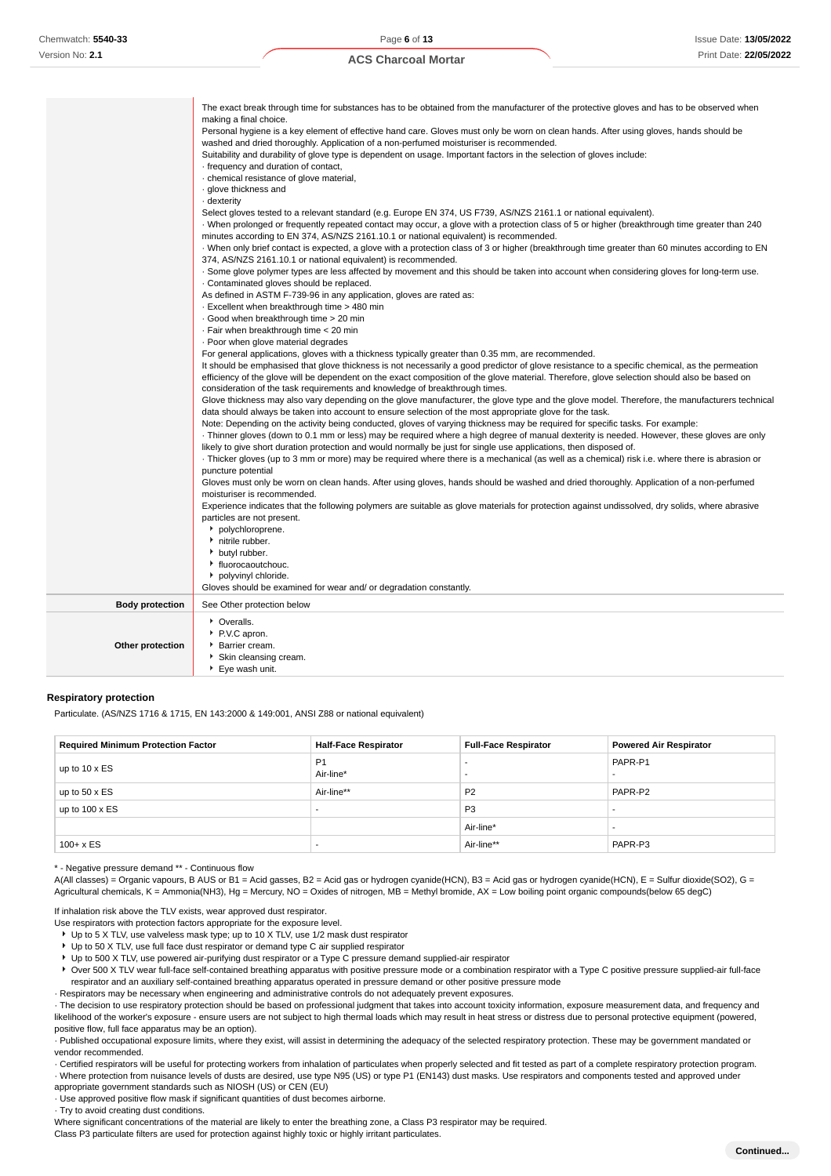| making a final choice.<br>Personal hygiene is a key element of effective hand care. Gloves must only be worn on clean hands. After using gloves, hands should be<br>washed and dried thoroughly. Application of a non-perfumed moisturiser is recommended.<br>Suitability and durability of glove type is dependent on usage. Important factors in the selection of gloves include:<br>frequency and duration of contact,<br>· chemical resistance of glove material,<br>· glove thickness and<br>- dexterity<br>Select gloves tested to a relevant standard (e.g. Europe EN 374, US F739, AS/NZS 2161.1 or national equivalent).<br>When prolonged or frequently repeated contact may occur, a glove with a protection class of 5 or higher (breakthrough time greater than 240<br>minutes according to EN 374, AS/NZS 2161.10.1 or national equivalent) is recommended.<br>When only brief contact is expected, a glove with a protection class of 3 or higher (breakthrough time greater than 60 minutes according to EN<br>374, AS/NZS 2161.10.1 or national equivalent) is recommended.<br>. Some glove polymer types are less affected by movement and this should be taken into account when considering gloves for long-term use.<br>Contaminated gloves should be replaced.<br>As defined in ASTM F-739-96 in any application, gloves are rated as:<br>. Excellent when breakthrough time > 480 min<br>· Good when breakthrough time > 20 min<br>· Fair when breakthrough time < 20 min<br>. Poor when glove material degrades<br>For general applications, gloves with a thickness typically greater than 0.35 mm, are recommended.<br>It should be emphasised that glove thickness is not necessarily a good predictor of glove resistance to a specific chemical, as the permeation<br>efficiency of the glove will be dependent on the exact composition of the glove material. Therefore, glove selection should also be based on<br>consideration of the task requirements and knowledge of breakthrough times.<br>Glove thickness may also vary depending on the glove manufacturer, the glove type and the glove model. Therefore, the manufacturers technical<br>data should always be taken into account to ensure selection of the most appropriate glove for the task.<br>Note: Depending on the activity being conducted, gloves of varying thickness may be required for specific tasks. For example:<br>Thinner gloves (down to 0.1 mm or less) may be required where a high degree of manual dexterity is needed. However, these gloves are only<br>likely to give short duration protection and would normally be just for single use applications, then disposed of.<br>Thicker gloves (up to 3 mm or more) may be required where there is a mechanical (as well as a chemical) risk i.e. where there is abrasion or<br>puncture potential<br>Gloves must only be worn on clean hands. After using gloves, hands should be washed and dried thoroughly. Application of a non-perfumed<br>moisturiser is recommended.<br>Experience indicates that the following polymers are suitable as glove materials for protection against undissolved, dry solids, where abrasive<br>particles are not present.<br>polychloroprene. |
|------------------------------------------------------------------------------------------------------------------------------------------------------------------------------------------------------------------------------------------------------------------------------------------------------------------------------------------------------------------------------------------------------------------------------------------------------------------------------------------------------------------------------------------------------------------------------------------------------------------------------------------------------------------------------------------------------------------------------------------------------------------------------------------------------------------------------------------------------------------------------------------------------------------------------------------------------------------------------------------------------------------------------------------------------------------------------------------------------------------------------------------------------------------------------------------------------------------------------------------------------------------------------------------------------------------------------------------------------------------------------------------------------------------------------------------------------------------------------------------------------------------------------------------------------------------------------------------------------------------------------------------------------------------------------------------------------------------------------------------------------------------------------------------------------------------------------------------------------------------------------------------------------------------------------------------------------------------------------------------------------------------------------------------------------------------------------------------------------------------------------------------------------------------------------------------------------------------------------------------------------------------------------------------------------------------------------------------------------------------------------------------------------------------------------------------------------------------------------------------------------------------------------------------------------------------------------------------------------------------------------------------------------------------------------------------------------------------------------------------------------------------------------------------------------------------------------------------------------------------------------------------------------------------------------------------------------------------------------------------------------------------------------------------------------------------------------------------------------------------------------------------------------------------------------------------------------------------------------------------------------|
|                                                                                                                                                                                                                                                                                                                                                                                                                                                                                                                                                                                                                                                                                                                                                                                                                                                                                                                                                                                                                                                                                                                                                                                                                                                                                                                                                                                                                                                                                                                                                                                                                                                                                                                                                                                                                                                                                                                                                                                                                                                                                                                                                                                                                                                                                                                                                                                                                                                                                                                                                                                                                                                                                                                                                                                                                                                                                                                                                                                                                                                                                                                                                                                                                                                      |
|                                                                                                                                                                                                                                                                                                                                                                                                                                                                                                                                                                                                                                                                                                                                                                                                                                                                                                                                                                                                                                                                                                                                                                                                                                                                                                                                                                                                                                                                                                                                                                                                                                                                                                                                                                                                                                                                                                                                                                                                                                                                                                                                                                                                                                                                                                                                                                                                                                                                                                                                                                                                                                                                                                                                                                                                                                                                                                                                                                                                                                                                                                                                                                                                                                                      |
|                                                                                                                                                                                                                                                                                                                                                                                                                                                                                                                                                                                                                                                                                                                                                                                                                                                                                                                                                                                                                                                                                                                                                                                                                                                                                                                                                                                                                                                                                                                                                                                                                                                                                                                                                                                                                                                                                                                                                                                                                                                                                                                                                                                                                                                                                                                                                                                                                                                                                                                                                                                                                                                                                                                                                                                                                                                                                                                                                                                                                                                                                                                                                                                                                                                      |
|                                                                                                                                                                                                                                                                                                                                                                                                                                                                                                                                                                                                                                                                                                                                                                                                                                                                                                                                                                                                                                                                                                                                                                                                                                                                                                                                                                                                                                                                                                                                                                                                                                                                                                                                                                                                                                                                                                                                                                                                                                                                                                                                                                                                                                                                                                                                                                                                                                                                                                                                                                                                                                                                                                                                                                                                                                                                                                                                                                                                                                                                                                                                                                                                                                                      |
|                                                                                                                                                                                                                                                                                                                                                                                                                                                                                                                                                                                                                                                                                                                                                                                                                                                                                                                                                                                                                                                                                                                                                                                                                                                                                                                                                                                                                                                                                                                                                                                                                                                                                                                                                                                                                                                                                                                                                                                                                                                                                                                                                                                                                                                                                                                                                                                                                                                                                                                                                                                                                                                                                                                                                                                                                                                                                                                                                                                                                                                                                                                                                                                                                                                      |
|                                                                                                                                                                                                                                                                                                                                                                                                                                                                                                                                                                                                                                                                                                                                                                                                                                                                                                                                                                                                                                                                                                                                                                                                                                                                                                                                                                                                                                                                                                                                                                                                                                                                                                                                                                                                                                                                                                                                                                                                                                                                                                                                                                                                                                                                                                                                                                                                                                                                                                                                                                                                                                                                                                                                                                                                                                                                                                                                                                                                                                                                                                                                                                                                                                                      |
|                                                                                                                                                                                                                                                                                                                                                                                                                                                                                                                                                                                                                                                                                                                                                                                                                                                                                                                                                                                                                                                                                                                                                                                                                                                                                                                                                                                                                                                                                                                                                                                                                                                                                                                                                                                                                                                                                                                                                                                                                                                                                                                                                                                                                                                                                                                                                                                                                                                                                                                                                                                                                                                                                                                                                                                                                                                                                                                                                                                                                                                                                                                                                                                                                                                      |
|                                                                                                                                                                                                                                                                                                                                                                                                                                                                                                                                                                                                                                                                                                                                                                                                                                                                                                                                                                                                                                                                                                                                                                                                                                                                                                                                                                                                                                                                                                                                                                                                                                                                                                                                                                                                                                                                                                                                                                                                                                                                                                                                                                                                                                                                                                                                                                                                                                                                                                                                                                                                                                                                                                                                                                                                                                                                                                                                                                                                                                                                                                                                                                                                                                                      |
|                                                                                                                                                                                                                                                                                                                                                                                                                                                                                                                                                                                                                                                                                                                                                                                                                                                                                                                                                                                                                                                                                                                                                                                                                                                                                                                                                                                                                                                                                                                                                                                                                                                                                                                                                                                                                                                                                                                                                                                                                                                                                                                                                                                                                                                                                                                                                                                                                                                                                                                                                                                                                                                                                                                                                                                                                                                                                                                                                                                                                                                                                                                                                                                                                                                      |
|                                                                                                                                                                                                                                                                                                                                                                                                                                                                                                                                                                                                                                                                                                                                                                                                                                                                                                                                                                                                                                                                                                                                                                                                                                                                                                                                                                                                                                                                                                                                                                                                                                                                                                                                                                                                                                                                                                                                                                                                                                                                                                                                                                                                                                                                                                                                                                                                                                                                                                                                                                                                                                                                                                                                                                                                                                                                                                                                                                                                                                                                                                                                                                                                                                                      |
|                                                                                                                                                                                                                                                                                                                                                                                                                                                                                                                                                                                                                                                                                                                                                                                                                                                                                                                                                                                                                                                                                                                                                                                                                                                                                                                                                                                                                                                                                                                                                                                                                                                                                                                                                                                                                                                                                                                                                                                                                                                                                                                                                                                                                                                                                                                                                                                                                                                                                                                                                                                                                                                                                                                                                                                                                                                                                                                                                                                                                                                                                                                                                                                                                                                      |
|                                                                                                                                                                                                                                                                                                                                                                                                                                                                                                                                                                                                                                                                                                                                                                                                                                                                                                                                                                                                                                                                                                                                                                                                                                                                                                                                                                                                                                                                                                                                                                                                                                                                                                                                                                                                                                                                                                                                                                                                                                                                                                                                                                                                                                                                                                                                                                                                                                                                                                                                                                                                                                                                                                                                                                                                                                                                                                                                                                                                                                                                                                                                                                                                                                                      |
|                                                                                                                                                                                                                                                                                                                                                                                                                                                                                                                                                                                                                                                                                                                                                                                                                                                                                                                                                                                                                                                                                                                                                                                                                                                                                                                                                                                                                                                                                                                                                                                                                                                                                                                                                                                                                                                                                                                                                                                                                                                                                                                                                                                                                                                                                                                                                                                                                                                                                                                                                                                                                                                                                                                                                                                                                                                                                                                                                                                                                                                                                                                                                                                                                                                      |
|                                                                                                                                                                                                                                                                                                                                                                                                                                                                                                                                                                                                                                                                                                                                                                                                                                                                                                                                                                                                                                                                                                                                                                                                                                                                                                                                                                                                                                                                                                                                                                                                                                                                                                                                                                                                                                                                                                                                                                                                                                                                                                                                                                                                                                                                                                                                                                                                                                                                                                                                                                                                                                                                                                                                                                                                                                                                                                                                                                                                                                                                                                                                                                                                                                                      |
|                                                                                                                                                                                                                                                                                                                                                                                                                                                                                                                                                                                                                                                                                                                                                                                                                                                                                                                                                                                                                                                                                                                                                                                                                                                                                                                                                                                                                                                                                                                                                                                                                                                                                                                                                                                                                                                                                                                                                                                                                                                                                                                                                                                                                                                                                                                                                                                                                                                                                                                                                                                                                                                                                                                                                                                                                                                                                                                                                                                                                                                                                                                                                                                                                                                      |
|                                                                                                                                                                                                                                                                                                                                                                                                                                                                                                                                                                                                                                                                                                                                                                                                                                                                                                                                                                                                                                                                                                                                                                                                                                                                                                                                                                                                                                                                                                                                                                                                                                                                                                                                                                                                                                                                                                                                                                                                                                                                                                                                                                                                                                                                                                                                                                                                                                                                                                                                                                                                                                                                                                                                                                                                                                                                                                                                                                                                                                                                                                                                                                                                                                                      |
|                                                                                                                                                                                                                                                                                                                                                                                                                                                                                                                                                                                                                                                                                                                                                                                                                                                                                                                                                                                                                                                                                                                                                                                                                                                                                                                                                                                                                                                                                                                                                                                                                                                                                                                                                                                                                                                                                                                                                                                                                                                                                                                                                                                                                                                                                                                                                                                                                                                                                                                                                                                                                                                                                                                                                                                                                                                                                                                                                                                                                                                                                                                                                                                                                                                      |
|                                                                                                                                                                                                                                                                                                                                                                                                                                                                                                                                                                                                                                                                                                                                                                                                                                                                                                                                                                                                                                                                                                                                                                                                                                                                                                                                                                                                                                                                                                                                                                                                                                                                                                                                                                                                                                                                                                                                                                                                                                                                                                                                                                                                                                                                                                                                                                                                                                                                                                                                                                                                                                                                                                                                                                                                                                                                                                                                                                                                                                                                                                                                                                                                                                                      |
|                                                                                                                                                                                                                                                                                                                                                                                                                                                                                                                                                                                                                                                                                                                                                                                                                                                                                                                                                                                                                                                                                                                                                                                                                                                                                                                                                                                                                                                                                                                                                                                                                                                                                                                                                                                                                                                                                                                                                                                                                                                                                                                                                                                                                                                                                                                                                                                                                                                                                                                                                                                                                                                                                                                                                                                                                                                                                                                                                                                                                                                                                                                                                                                                                                                      |
|                                                                                                                                                                                                                                                                                                                                                                                                                                                                                                                                                                                                                                                                                                                                                                                                                                                                                                                                                                                                                                                                                                                                                                                                                                                                                                                                                                                                                                                                                                                                                                                                                                                                                                                                                                                                                                                                                                                                                                                                                                                                                                                                                                                                                                                                                                                                                                                                                                                                                                                                                                                                                                                                                                                                                                                                                                                                                                                                                                                                                                                                                                                                                                                                                                                      |
|                                                                                                                                                                                                                                                                                                                                                                                                                                                                                                                                                                                                                                                                                                                                                                                                                                                                                                                                                                                                                                                                                                                                                                                                                                                                                                                                                                                                                                                                                                                                                                                                                                                                                                                                                                                                                                                                                                                                                                                                                                                                                                                                                                                                                                                                                                                                                                                                                                                                                                                                                                                                                                                                                                                                                                                                                                                                                                                                                                                                                                                                                                                                                                                                                                                      |
|                                                                                                                                                                                                                                                                                                                                                                                                                                                                                                                                                                                                                                                                                                                                                                                                                                                                                                                                                                                                                                                                                                                                                                                                                                                                                                                                                                                                                                                                                                                                                                                                                                                                                                                                                                                                                                                                                                                                                                                                                                                                                                                                                                                                                                                                                                                                                                                                                                                                                                                                                                                                                                                                                                                                                                                                                                                                                                                                                                                                                                                                                                                                                                                                                                                      |
|                                                                                                                                                                                                                                                                                                                                                                                                                                                                                                                                                                                                                                                                                                                                                                                                                                                                                                                                                                                                                                                                                                                                                                                                                                                                                                                                                                                                                                                                                                                                                                                                                                                                                                                                                                                                                                                                                                                                                                                                                                                                                                                                                                                                                                                                                                                                                                                                                                                                                                                                                                                                                                                                                                                                                                                                                                                                                                                                                                                                                                                                                                                                                                                                                                                      |
|                                                                                                                                                                                                                                                                                                                                                                                                                                                                                                                                                                                                                                                                                                                                                                                                                                                                                                                                                                                                                                                                                                                                                                                                                                                                                                                                                                                                                                                                                                                                                                                                                                                                                                                                                                                                                                                                                                                                                                                                                                                                                                                                                                                                                                                                                                                                                                                                                                                                                                                                                                                                                                                                                                                                                                                                                                                                                                                                                                                                                                                                                                                                                                                                                                                      |
|                                                                                                                                                                                                                                                                                                                                                                                                                                                                                                                                                                                                                                                                                                                                                                                                                                                                                                                                                                                                                                                                                                                                                                                                                                                                                                                                                                                                                                                                                                                                                                                                                                                                                                                                                                                                                                                                                                                                                                                                                                                                                                                                                                                                                                                                                                                                                                                                                                                                                                                                                                                                                                                                                                                                                                                                                                                                                                                                                                                                                                                                                                                                                                                                                                                      |
|                                                                                                                                                                                                                                                                                                                                                                                                                                                                                                                                                                                                                                                                                                                                                                                                                                                                                                                                                                                                                                                                                                                                                                                                                                                                                                                                                                                                                                                                                                                                                                                                                                                                                                                                                                                                                                                                                                                                                                                                                                                                                                                                                                                                                                                                                                                                                                                                                                                                                                                                                                                                                                                                                                                                                                                                                                                                                                                                                                                                                                                                                                                                                                                                                                                      |
|                                                                                                                                                                                                                                                                                                                                                                                                                                                                                                                                                                                                                                                                                                                                                                                                                                                                                                                                                                                                                                                                                                                                                                                                                                                                                                                                                                                                                                                                                                                                                                                                                                                                                                                                                                                                                                                                                                                                                                                                                                                                                                                                                                                                                                                                                                                                                                                                                                                                                                                                                                                                                                                                                                                                                                                                                                                                                                                                                                                                                                                                                                                                                                                                                                                      |
|                                                                                                                                                                                                                                                                                                                                                                                                                                                                                                                                                                                                                                                                                                                                                                                                                                                                                                                                                                                                                                                                                                                                                                                                                                                                                                                                                                                                                                                                                                                                                                                                                                                                                                                                                                                                                                                                                                                                                                                                                                                                                                                                                                                                                                                                                                                                                                                                                                                                                                                                                                                                                                                                                                                                                                                                                                                                                                                                                                                                                                                                                                                                                                                                                                                      |
|                                                                                                                                                                                                                                                                                                                                                                                                                                                                                                                                                                                                                                                                                                                                                                                                                                                                                                                                                                                                                                                                                                                                                                                                                                                                                                                                                                                                                                                                                                                                                                                                                                                                                                                                                                                                                                                                                                                                                                                                                                                                                                                                                                                                                                                                                                                                                                                                                                                                                                                                                                                                                                                                                                                                                                                                                                                                                                                                                                                                                                                                                                                                                                                                                                                      |
|                                                                                                                                                                                                                                                                                                                                                                                                                                                                                                                                                                                                                                                                                                                                                                                                                                                                                                                                                                                                                                                                                                                                                                                                                                                                                                                                                                                                                                                                                                                                                                                                                                                                                                                                                                                                                                                                                                                                                                                                                                                                                                                                                                                                                                                                                                                                                                                                                                                                                                                                                                                                                                                                                                                                                                                                                                                                                                                                                                                                                                                                                                                                                                                                                                                      |
|                                                                                                                                                                                                                                                                                                                                                                                                                                                                                                                                                                                                                                                                                                                                                                                                                                                                                                                                                                                                                                                                                                                                                                                                                                                                                                                                                                                                                                                                                                                                                                                                                                                                                                                                                                                                                                                                                                                                                                                                                                                                                                                                                                                                                                                                                                                                                                                                                                                                                                                                                                                                                                                                                                                                                                                                                                                                                                                                                                                                                                                                                                                                                                                                                                                      |
|                                                                                                                                                                                                                                                                                                                                                                                                                                                                                                                                                                                                                                                                                                                                                                                                                                                                                                                                                                                                                                                                                                                                                                                                                                                                                                                                                                                                                                                                                                                                                                                                                                                                                                                                                                                                                                                                                                                                                                                                                                                                                                                                                                                                                                                                                                                                                                                                                                                                                                                                                                                                                                                                                                                                                                                                                                                                                                                                                                                                                                                                                                                                                                                                                                                      |
|                                                                                                                                                                                                                                                                                                                                                                                                                                                                                                                                                                                                                                                                                                                                                                                                                                                                                                                                                                                                                                                                                                                                                                                                                                                                                                                                                                                                                                                                                                                                                                                                                                                                                                                                                                                                                                                                                                                                                                                                                                                                                                                                                                                                                                                                                                                                                                                                                                                                                                                                                                                                                                                                                                                                                                                                                                                                                                                                                                                                                                                                                                                                                                                                                                                      |
|                                                                                                                                                                                                                                                                                                                                                                                                                                                                                                                                                                                                                                                                                                                                                                                                                                                                                                                                                                                                                                                                                                                                                                                                                                                                                                                                                                                                                                                                                                                                                                                                                                                                                                                                                                                                                                                                                                                                                                                                                                                                                                                                                                                                                                                                                                                                                                                                                                                                                                                                                                                                                                                                                                                                                                                                                                                                                                                                                                                                                                                                                                                                                                                                                                                      |
| nitrile rubber.                                                                                                                                                                                                                                                                                                                                                                                                                                                                                                                                                                                                                                                                                                                                                                                                                                                                                                                                                                                                                                                                                                                                                                                                                                                                                                                                                                                                                                                                                                                                                                                                                                                                                                                                                                                                                                                                                                                                                                                                                                                                                                                                                                                                                                                                                                                                                                                                                                                                                                                                                                                                                                                                                                                                                                                                                                                                                                                                                                                                                                                                                                                                                                                                                                      |
| butyl rubber.<br>• fluorocaoutchouc.                                                                                                                                                                                                                                                                                                                                                                                                                                                                                                                                                                                                                                                                                                                                                                                                                                                                                                                                                                                                                                                                                                                                                                                                                                                                                                                                                                                                                                                                                                                                                                                                                                                                                                                                                                                                                                                                                                                                                                                                                                                                                                                                                                                                                                                                                                                                                                                                                                                                                                                                                                                                                                                                                                                                                                                                                                                                                                                                                                                                                                                                                                                                                                                                                 |
| polyvinyl chloride.                                                                                                                                                                                                                                                                                                                                                                                                                                                                                                                                                                                                                                                                                                                                                                                                                                                                                                                                                                                                                                                                                                                                                                                                                                                                                                                                                                                                                                                                                                                                                                                                                                                                                                                                                                                                                                                                                                                                                                                                                                                                                                                                                                                                                                                                                                                                                                                                                                                                                                                                                                                                                                                                                                                                                                                                                                                                                                                                                                                                                                                                                                                                                                                                                                  |
| Gloves should be examined for wear and/ or degradation constantly.                                                                                                                                                                                                                                                                                                                                                                                                                                                                                                                                                                                                                                                                                                                                                                                                                                                                                                                                                                                                                                                                                                                                                                                                                                                                                                                                                                                                                                                                                                                                                                                                                                                                                                                                                                                                                                                                                                                                                                                                                                                                                                                                                                                                                                                                                                                                                                                                                                                                                                                                                                                                                                                                                                                                                                                                                                                                                                                                                                                                                                                                                                                                                                                   |
| <b>Body protection</b><br>See Other protection below                                                                                                                                                                                                                                                                                                                                                                                                                                                                                                                                                                                                                                                                                                                                                                                                                                                                                                                                                                                                                                                                                                                                                                                                                                                                                                                                                                                                                                                                                                                                                                                                                                                                                                                                                                                                                                                                                                                                                                                                                                                                                                                                                                                                                                                                                                                                                                                                                                                                                                                                                                                                                                                                                                                                                                                                                                                                                                                                                                                                                                                                                                                                                                                                 |
| • Overalls.                                                                                                                                                                                                                                                                                                                                                                                                                                                                                                                                                                                                                                                                                                                                                                                                                                                                                                                                                                                                                                                                                                                                                                                                                                                                                                                                                                                                                                                                                                                                                                                                                                                                                                                                                                                                                                                                                                                                                                                                                                                                                                                                                                                                                                                                                                                                                                                                                                                                                                                                                                                                                                                                                                                                                                                                                                                                                                                                                                                                                                                                                                                                                                                                                                          |
| P.V.C apron.                                                                                                                                                                                                                                                                                                                                                                                                                                                                                                                                                                                                                                                                                                                                                                                                                                                                                                                                                                                                                                                                                                                                                                                                                                                                                                                                                                                                                                                                                                                                                                                                                                                                                                                                                                                                                                                                                                                                                                                                                                                                                                                                                                                                                                                                                                                                                                                                                                                                                                                                                                                                                                                                                                                                                                                                                                                                                                                                                                                                                                                                                                                                                                                                                                         |
| Other protection<br>Barrier cream.                                                                                                                                                                                                                                                                                                                                                                                                                                                                                                                                                                                                                                                                                                                                                                                                                                                                                                                                                                                                                                                                                                                                                                                                                                                                                                                                                                                                                                                                                                                                                                                                                                                                                                                                                                                                                                                                                                                                                                                                                                                                                                                                                                                                                                                                                                                                                                                                                                                                                                                                                                                                                                                                                                                                                                                                                                                                                                                                                                                                                                                                                                                                                                                                                   |
| Skin cleansing cream.                                                                                                                                                                                                                                                                                                                                                                                                                                                                                                                                                                                                                                                                                                                                                                                                                                                                                                                                                                                                                                                                                                                                                                                                                                                                                                                                                                                                                                                                                                                                                                                                                                                                                                                                                                                                                                                                                                                                                                                                                                                                                                                                                                                                                                                                                                                                                                                                                                                                                                                                                                                                                                                                                                                                                                                                                                                                                                                                                                                                                                                                                                                                                                                                                                |
| ▶ Eye wash unit.                                                                                                                                                                                                                                                                                                                                                                                                                                                                                                                                                                                                                                                                                                                                                                                                                                                                                                                                                                                                                                                                                                                                                                                                                                                                                                                                                                                                                                                                                                                                                                                                                                                                                                                                                                                                                                                                                                                                                                                                                                                                                                                                                                                                                                                                                                                                                                                                                                                                                                                                                                                                                                                                                                                                                                                                                                                                                                                                                                                                                                                                                                                                                                                                                                     |

#### **Respiratory protection**

Particulate. (AS/NZS 1716 & 1715, EN 143:2000 & 149:001, ANSI Z88 or national equivalent)

| <b>Required Minimum Protection Factor</b> | <b>Half-Face Respirator</b> | <b>Full-Face Respirator</b> | <b>Powered Air Respirator</b> |
|-------------------------------------------|-----------------------------|-----------------------------|-------------------------------|
| up to $10 \times ES$                      | P <sub>1</sub><br>Air-line* |                             | PAPR-P1<br>                   |
| up to $50 \times ES$                      | Air-line**                  | P <sub>2</sub>              | PAPR-P2                       |
| up to $100 \times ES$                     | . .                         | P <sub>3</sub>              |                               |
|                                           |                             | Air-line*                   |                               |
| $100 + x ES$                              | . .                         | Air-line**                  | PAPR-P3                       |

\* - Negative pressure demand \*\* - Continuous flow

A(All classes) = Organic vapours, B AUS or B1 = Acid gasses, B2 = Acid gas or hydrogen cyanide(HCN), B3 = Acid gas or hydrogen cyanide(HCN), E = Sulfur dioxide(SO2), G = Agricultural chemicals, K = Ammonia(NH3), Hg = Mercury, NO = Oxides of nitrogen, MB = Methyl bromide, AX = Low boiling point organic compounds(below 65 degC)

If inhalation risk above the TLV exists, wear approved dust respirator.

- Use respirators with protection factors appropriate for the exposure level.
- ▶ Up to 5 X TLV, use valveless mask type; up to 10 X TLV, use 1/2 mask dust respirator
- ▶ Up to 50 X TLV, use full face dust respirator or demand type C air supplied respirator
- Up to 500 X TLV, use powered air-purifying dust respirator or a Type C pressure demand supplied-air respirator
- ▶ Over 500 X TLV wear full-face self-contained breathing apparatus with positive pressure mode or a combination respirator with a Type C positive pressure supplied-air full-face respirator and an auxiliary self-contained breathing apparatus operated in pressure demand or other positive pressure mode

· Respirators may be necessary when engineering and administrative controls do not adequately prevent exposures.

· The decision to use respiratory protection should be based on professional judgment that takes into account toxicity information, exposure measurement data, and frequency and likelihood of the worker's exposure - ensure users are not subject to high thermal loads which may result in heat stress or distress due to personal protective equipment (powered, positive flow, full face apparatus may be an option).

· Published occupational exposure limits, where they exist, will assist in determining the adequacy of the selected respiratory protection. These may be government mandated or vendor recommended.

· Certified respirators will be useful for protecting workers from inhalation of particulates when properly selected and fit tested as part of a complete respiratory protection program. · Where protection from nuisance levels of dusts are desired, use type N95 (US) or type P1 (EN143) dust masks. Use respirators and components tested and approved under appropriate government standards such as NIOSH (US) or CEN (EU)

· Use approved positive flow mask if significant quantities of dust becomes airborne.

· Try to avoid creating dust conditions.

Where significant concentrations of the material are likely to enter the breathing zone, a Class P3 respirator may be required.

Class P3 particulate filters are used for protection against highly toxic or highly irritant particulates.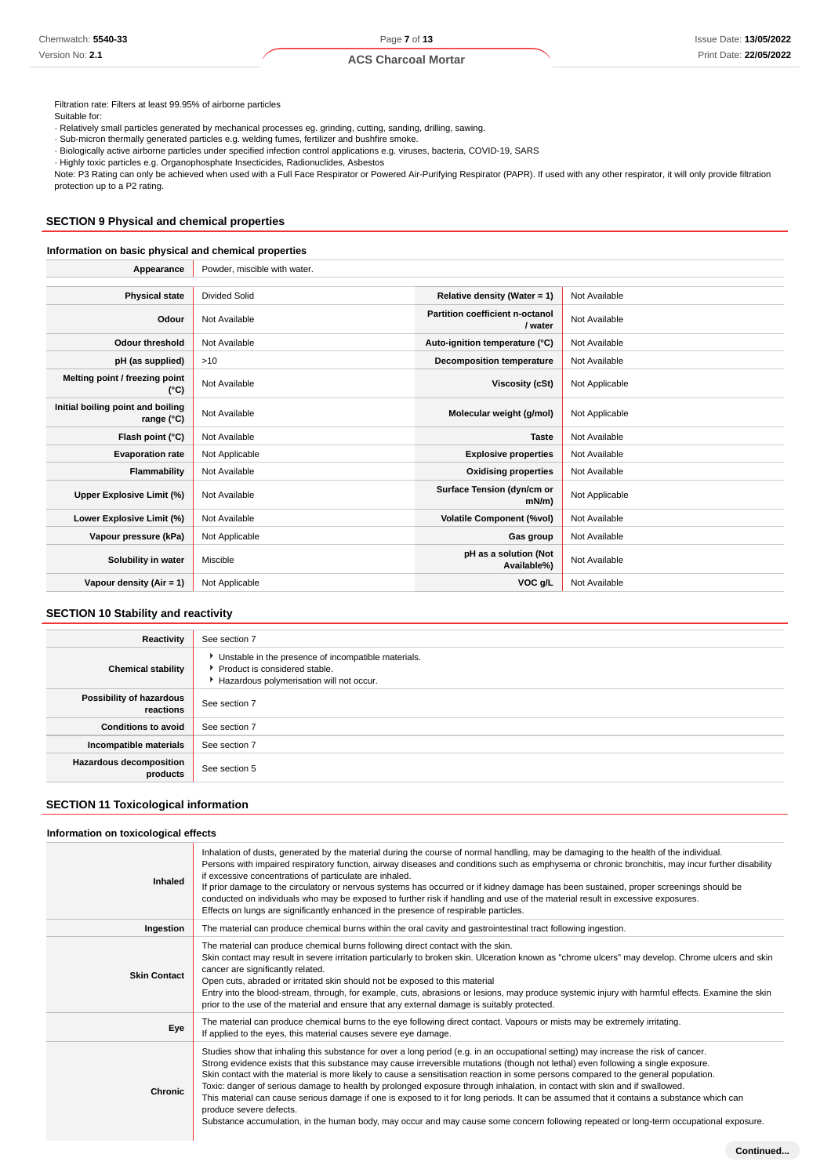Filtration rate: Filters at least 99.95% of airborne particles Suitable for:

· Relatively small particles generated by mechanical processes eg. grinding, cutting, sanding, drilling, sawing.

· Sub-micron thermally generated particles e.g. welding fumes, fertilizer and bushfire smoke.

· Biologically active airborne particles under specified infection control applications e.g. viruses, bacteria, COVID-19, SARS

· Highly toxic particles e.g. Organophosphate Insecticides, Radionuclides, Asbestos

Note: P3 Rating can only be achieved when used with a Full Face Respirator or Powered Air-Purifying Respirator (PAPR). If used with any other respirator, it will only provide filtration protection up to a P2 rating.

## **SECTION 9 Physical and chemical properties**

## **Information on basic physical and chemical properties**

| Appearance                                      | Powder, miscible with water. |                                            |                |
|-------------------------------------------------|------------------------------|--------------------------------------------|----------------|
|                                                 |                              |                                            |                |
| <b>Physical state</b>                           | <b>Divided Solid</b>         | Relative density (Water = 1)               | Not Available  |
| Odour                                           | Not Available                | Partition coefficient n-octanol<br>/ water | Not Available  |
| <b>Odour threshold</b>                          | Not Available                | Auto-ignition temperature (°C)             | Not Available  |
| pH (as supplied)                                | >10                          | <b>Decomposition temperature</b>           | Not Available  |
| Melting point / freezing point<br>(°C)          | Not Available                | Viscosity (cSt)                            | Not Applicable |
| Initial boiling point and boiling<br>range (°C) | Not Available                | Molecular weight (g/mol)                   | Not Applicable |
| Flash point (°C)                                | Not Available                | <b>Taste</b>                               | Not Available  |
| <b>Evaporation rate</b>                         | Not Applicable               | <b>Explosive properties</b>                | Not Available  |
| Flammability                                    | Not Available                | <b>Oxidising properties</b>                | Not Available  |
| Upper Explosive Limit (%)                       | Not Available                | Surface Tension (dyn/cm or<br>$mN/m$ )     | Not Applicable |
| Lower Explosive Limit (%)                       | Not Available                | <b>Volatile Component (%vol)</b>           | Not Available  |
| Vapour pressure (kPa)                           | Not Applicable               | Gas group                                  | Not Available  |
| Solubility in water                             | Miscible                     | pH as a solution (Not<br>Available%)       | Not Available  |
| Vapour density ( $Air = 1$ )                    | Not Applicable               | VOC g/L                                    | Not Available  |

## **SECTION 10 Stability and reactivity**

| Reactivity                                 | See section 7                                                                                                                      |
|--------------------------------------------|------------------------------------------------------------------------------------------------------------------------------------|
| <b>Chemical stability</b>                  | Unstable in the presence of incompatible materials.<br>▶ Product is considered stable.<br>Hazardous polymerisation will not occur. |
| Possibility of hazardous<br>reactions      | See section 7                                                                                                                      |
| <b>Conditions to avoid</b>                 | See section 7                                                                                                                      |
| Incompatible materials                     | See section 7                                                                                                                      |
| <b>Hazardous decomposition</b><br>products | See section 5                                                                                                                      |

## **SECTION 11 Toxicological information**

#### **Information on toxicological effects**

| Inhaled             | Inhalation of dusts, generated by the material during the course of normal handling, may be damaging to the health of the individual.<br>Persons with impaired respiratory function, airway diseases and conditions such as emphysema or chronic bronchitis, may incur further disability<br>if excessive concentrations of particulate are inhaled.<br>If prior damage to the circulatory or nervous systems has occurred or if kidney damage has been sustained, proper screenings should be<br>conducted on individuals who may be exposed to further risk if handling and use of the material result in excessive exposures.<br>Effects on lungs are significantly enhanced in the presence of respirable particles.                                                                                                                                        |
|---------------------|-----------------------------------------------------------------------------------------------------------------------------------------------------------------------------------------------------------------------------------------------------------------------------------------------------------------------------------------------------------------------------------------------------------------------------------------------------------------------------------------------------------------------------------------------------------------------------------------------------------------------------------------------------------------------------------------------------------------------------------------------------------------------------------------------------------------------------------------------------------------|
| Ingestion           | The material can produce chemical burns within the oral cavity and gastrointestinal tract following ingestion.                                                                                                                                                                                                                                                                                                                                                                                                                                                                                                                                                                                                                                                                                                                                                  |
| <b>Skin Contact</b> | The material can produce chemical burns following direct contact with the skin.<br>Skin contact may result in severe irritation particularly to broken skin. Ulceration known as "chrome ulcers" may develop. Chrome ulcers and skin<br>cancer are significantly related.<br>Open cuts, abraded or irritated skin should not be exposed to this material<br>Entry into the blood-stream, through, for example, cuts, abrasions or lesions, may produce systemic injury with harmful effects. Examine the skin<br>prior to the use of the material and ensure that any external damage is suitably protected.                                                                                                                                                                                                                                                    |
| Eye                 | The material can produce chemical burns to the eye following direct contact. Vapours or mists may be extremely irritating.<br>If applied to the eyes, this material causes severe eye damage.                                                                                                                                                                                                                                                                                                                                                                                                                                                                                                                                                                                                                                                                   |
| <b>Chronic</b>      | Studies show that inhaling this substance for over a long period (e.g. in an occupational setting) may increase the risk of cancer.<br>Strong evidence exists that this substance may cause irreversible mutations (though not lethal) even following a single exposure.<br>Skin contact with the material is more likely to cause a sensitisation reaction in some persons compared to the general population.<br>Toxic: danger of serious damage to health by prolonged exposure through inhalation, in contact with skin and if swallowed.<br>This material can cause serious damage if one is exposed to it for long periods. It can be assumed that it contains a substance which can<br>produce severe defects.<br>Substance accumulation, in the human body, may occur and may cause some concern following repeated or long-term occupational exposure. |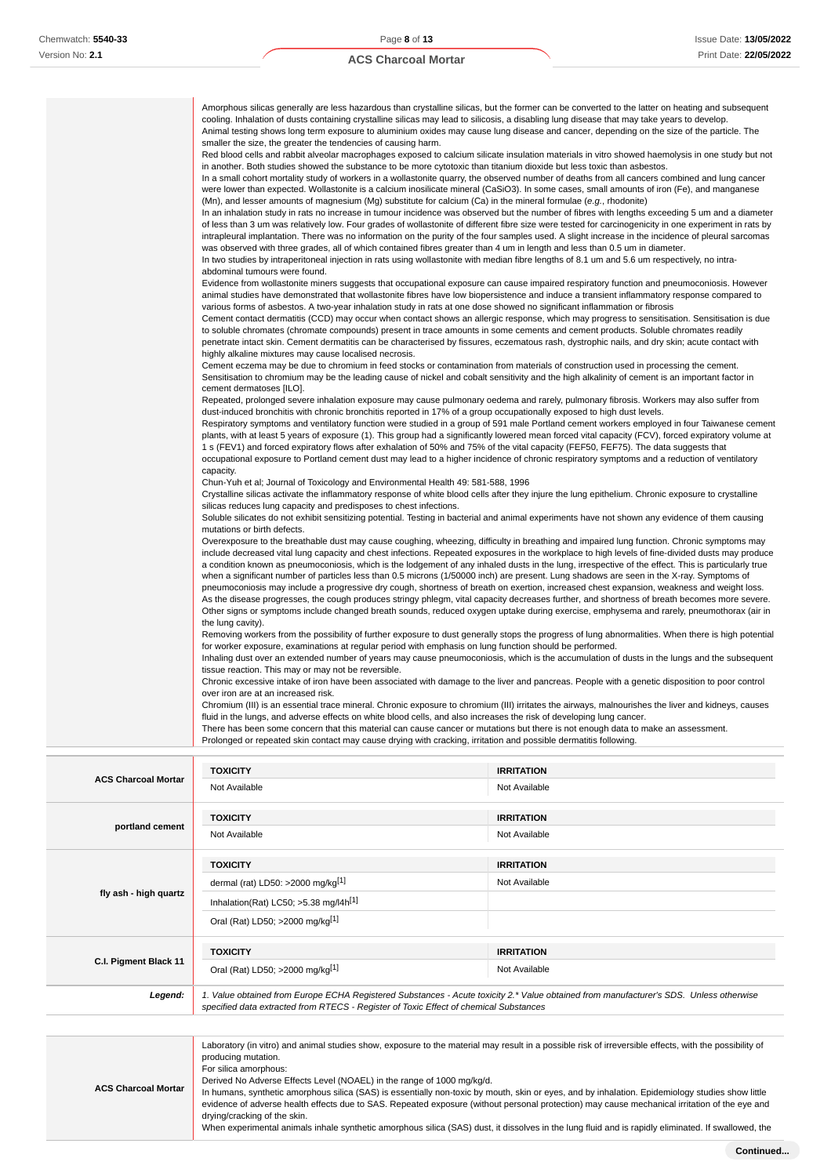$\overline{1}$ 

## **ACS Charcoal Mortar**

| Amorphous silicas generally are less hazardous than crystalline silicas, but the former can be converted to the latter on heating and subsequent       |
|--------------------------------------------------------------------------------------------------------------------------------------------------------|
| cooling. Inhalation of dusts containing crystalline silicas may lead to silicosis, a disabling lung disease that may take years to develop.            |
| Animal testing shows long term exposure to aluminium oxides may cause lung disease and cancer, depending on the size of the particle. The              |
| smaller the size, the greater the tendencies of causing harm.                                                                                          |
| Red blood cells and rabbit alveolar macrophages exposed to calcium silicate insulation materials in vitro showed haemolysis in one study but not       |
| in another. Both studies showed the substance to be more cytotoxic than titanium dioxide but less toxic than asbestos.                                 |
| In a small cohort mortality study of workers in a wollastonite quarry, the observed number of deaths from all cancers combined and lung cancer         |
| were lower than expected. Wollastonite is a calcium inosilicate mineral (CaSiO3). In some cases, small amounts of iron (Fe), and manganese             |
| (Mn), and lesser amounts of magnesium (Mg) substitute for calcium (Ca) in the mineral formulae (e.g., rhodonite)                                       |
| In an inhalation study in rats no increase in tumour incidence was observed but the number of fibres with lengths exceeding 5 um and a diameter        |
| of less than 3 um was relatively low. Four grades of wollastonite of different fibre size were tested for carcinogenicity in one experiment in rats by |
| intrapleural implantation. There was no information on the purity of the four samples used. A slight increase in the incidence of pleural sarcomas     |
| was observed with three grades, all of which contained fibres greater than 4 um in length and less than 0.5 um in diameter.                            |
| In two studies by intraperitoneal injection in rats using wollastonite with median fibre lengths of 8.1 um and 5.6 um respectively, no intra-          |
| abdominal tumours were found.                                                                                                                          |
| Evidence from wollastonite miners suggests that occupational exposure can cause impaired respiratory function and pneumoconiosis. However              |
| animal studies have demonstrated that wollastonite fibres have low biopersistence and induce a transient inflammatory response compared to             |
| various forms of asbestos. A two-year inhalation study in rats at one dose showed no significant inflammation or fibrosis                              |
| Cement contact dermatitis (CCD) may occur when contact shows an allergic response, which may progress to sensitisation. Sensitisation is due           |
| to soluble chromates (chromate compounds) present in trace amounts in some cements and cement products. Soluble chromates readily                      |
| penetrate intact skin. Cement dermatitis can be characterised by fissures, eczematous rash, dystrophic nails, and dry skin; acute contact with         |
| highly alkaline mixtures may cause localised necrosis.                                                                                                 |
| Cement eczema may be due to chromium in feed stocks or contamination from materials of construction used in processing the cement.                     |
| Sensitisation to chromium may be the leading cause of nickel and cobalt sensitivity and the high alkalinity of cement is an important factor in        |
| cement dermatoses [ILO].                                                                                                                               |
| Repeated, prolonged severe inhalation exposure may cause pulmonary oedema and rarely, pulmonary fibrosis. Workers may also suffer from                 |
| dust-induced bronchitis with chronic bronchitis reported in 17% of a group occupationally exposed to high dust levels.                                 |
| Respiratory symptoms and ventilatory function were studied in a group of 591 male Portland cement workers employed in four Taiwanese cement            |
| plants, with at least 5 years of exposure (1). This group had a significantly lowered mean forced vital capacity (FCV), forced expiratory volume at    |
| 1 s (FEV1) and forced expiratory flows after exhalation of 50% and 75% of the vital capacity (FEF50, FEF75). The data suggests that                    |
| occupational exposure to Portland cement dust may lead to a higher incidence of chronic respiratory symptoms and a reduction of ventilatory            |
| capacity.                                                                                                                                              |
| Chun-Yuh et al; Journal of Toxicology and Environmental Health 49: 581-588, 1996                                                                       |
| Crystalline silicas activate the inflammatory response of white blood cells after they injure the lung epithelium. Chronic exposure to crystalline     |
| silicas reduces lung capacity and predisposes to chest infections.                                                                                     |
| Soluble silicates do not exhibit sensitizing potential. Testing in bacterial and animal experiments have not shown any evidence of them causing        |
| mutations or birth defects.                                                                                                                            |
| Overexposure to the breathable dust may cause coughing, wheezing, difficulty in breathing and impaired lung function. Chronic symptoms may             |
| include decreased vital lung capacity and chest infections. Repeated exposures in the workplace to high levels of fine-divided dusts may produce       |
| a condition known as pneumoconiosis, which is the lodgement of any inhaled dusts in the lung, irrespective of the effect. This is particularly true    |
| when a significant number of particles less than 0.5 microns (1/50000 inch) are present. Lung shadows are seen in the X-ray. Symptoms of               |
| pneumoconiosis may include a progressive dry cough, shortness of breath on exertion, increased chest expansion, weakness and weight loss.              |
| As the disease progresses, the cough produces stringy phlegm, vital capacity decreases further, and shortness of breath becomes more severe.           |
| Other signs or symptoms include changed breath sounds, reduced oxygen uptake during exercise, emphysema and rarely, pneumothorax (air in               |
| the lung cavity).                                                                                                                                      |
| Removing workers from the possibility of further exposure to dust generally stops the progress of lung abnormalities. When there is high potential     |
| for worker exposure, examinations at regular period with emphasis on lung function should be performed.                                                |
| Inhaling dust over an extended number of years may cause pneumoconiosis, which is the accumulation of dusts in the lungs and the subsequent            |
| tissue reaction. This may or may not be reversible.                                                                                                    |
| Chronic excessive intake of iron have been associated with damage to the liver and pancreas. People with a genetic disposition to poor control         |
| over iron are at an increased risk.                                                                                                                    |
| Chromium (III) is an essential trace mineral. Chronic exposure to chromium (III) irritates the airways, malnourishes the liver and kidneys, causes     |
| fluid in the lungs, and adverse effects on white blood cells, and also increases the risk of developing lung cancer.                                   |
| There has been some concern that this material can cause cancer or mutations but there is not enough data to make an assessment.                       |
| Prolonged or repeated skin contact may cause drying with cracking, irritation and possible dermatitis following.                                       |
|                                                                                                                                                        |

| <b>ACS Charcoal Mortar</b> | <b>TOXICITY</b>                                                                                                                                                                                                                                                                  | <b>IRRITATION</b> |  |  |
|----------------------------|----------------------------------------------------------------------------------------------------------------------------------------------------------------------------------------------------------------------------------------------------------------------------------|-------------------|--|--|
|                            | Not Available                                                                                                                                                                                                                                                                    | Not Available     |  |  |
|                            | <b>TOXICITY</b>                                                                                                                                                                                                                                                                  | <b>IRRITATION</b> |  |  |
| portland cement            | Not Available                                                                                                                                                                                                                                                                    | Not Available     |  |  |
|                            | <b>TOXICITY</b>                                                                                                                                                                                                                                                                  | <b>IRRITATION</b> |  |  |
|                            | dermal (rat) LD50: >2000 mg/kg <sup>[1]</sup>                                                                                                                                                                                                                                    | Not Available     |  |  |
| fly ash - high quartz      | Inhalation(Rat) LC50; $>5.38$ mg/l4h <sup>[1]</sup>                                                                                                                                                                                                                              |                   |  |  |
|                            | Oral (Rat) LD50; >2000 mg/kg[1]                                                                                                                                                                                                                                                  |                   |  |  |
|                            | <b>TOXICITY</b>                                                                                                                                                                                                                                                                  | <b>IRRITATION</b> |  |  |
| C.I. Pigment Black 11      | Oral (Rat) LD50; >2000 mg/kg[1]                                                                                                                                                                                                                                                  | Not Available     |  |  |
| Legend:                    | 1. Value obtained from Europe ECHA Registered Substances - Acute toxicity 2.* Value obtained from manufacturer's SDS. Unless otherwise<br>specified data extracted from RTECS - Register of Toxic Effect of chemical Substances                                                  |                   |  |  |
|                            |                                                                                                                                                                                                                                                                                  |                   |  |  |
| ACS Charocal Marter        | Laboratory (in vitro) and animal studies show, exposure to the material may result in a possible risk of irreversible effects, with the possibility of<br>producing mutation.<br>For silica amorphous:<br>Derived No Adverse Effects Level (NOAEL) in the range of 1000 mg/kg/d. |                   |  |  |

**ACS Charcoal Mortar** In humans, synthetic amorphous silica (SAS) is essentially non-toxic by mouth, skin or eyes, and by inhalation. Epidemiology studies show little evidence of adverse health effects due to SAS. Repeated exposure (without personal protection) may cause mechanical irritation of the eye and drying/cracking of the skin. When experimental animals inhale synthetic amorphous silica (SAS) dust, it dissolves in the lung fluid and is rapidly eliminated. If swallowed, the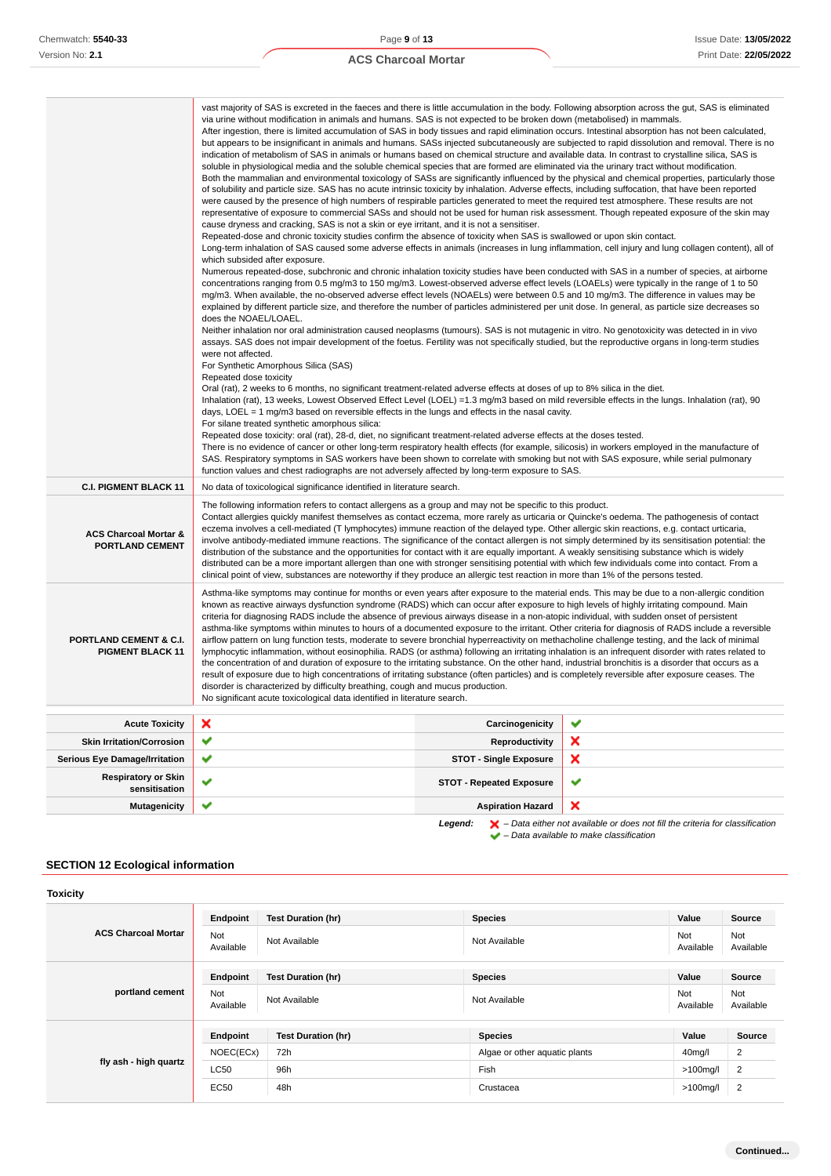| <b>ACS Charcoal Mortar</b> |  |  |  |  |
|----------------------------|--|--|--|--|
|----------------------------|--|--|--|--|

|                                                              | vast majority of SAS is excreted in the faeces and there is little accumulation in the body. Following absorption across the gut, SAS is eliminated<br>via urine without modification in animals and humans. SAS is not expected to be broken down (metabolised) in mammals.<br>After ingestion, there is limited accumulation of SAS in body tissues and rapid elimination occurs. Intestinal absorption has not been calculated,<br>indication of metabolism of SAS in animals or humans based on chemical structure and available data. In contrast to crystalline silica, SAS is<br>soluble in physiological media and the soluble chemical species that are formed are eliminated via the urinary tract without modification.<br>of solubility and particle size. SAS has no acute intrinsic toxicity by inhalation. Adverse effects, including suffocation, that have been reported<br>were caused by the presence of high numbers of respirable particles generated to meet the required test atmosphere. These results are not<br>representative of exposure to commercial SASs and should not be used for human risk assessment. Though repeated exposure of the skin may<br>cause dryness and cracking, SAS is not a skin or eye irritant, and it is not a sensitiser.<br>Repeated-dose and chronic toxicity studies confirm the absence of toxicity when SAS is swallowed or upon skin contact.<br>which subsided after exposure.<br>Numerous repeated-dose, subchronic and chronic inhalation toxicity studies have been conducted with SAS in a number of species, at airborne<br>concentrations ranging from 0.5 mg/m3 to 150 mg/m3. Lowest-observed adverse effect levels (LOAELs) were typically in the range of 1 to 50<br>mg/m3. When available, the no-observed adverse effect levels (NOAELs) were between 0.5 and 10 mg/m3. The difference in values may be<br>explained by different particle size, and therefore the number of particles administered per unit dose. In general, as particle size decreases so<br>does the NOAEL/LOAEL.<br>Neither inhalation nor oral administration caused neoplasms (tumours). SAS is not mutagenic in vitro. No genotoxicity was detected in in vivo<br>assays. SAS does not impair development of the foetus. Fertility was not specifically studied, but the reproductive organs in long-term studies<br>were not affected.<br>For Synthetic Amorphous Silica (SAS)<br>Repeated dose toxicity<br>Oral (rat), 2 weeks to 6 months, no significant treatment-related adverse effects at doses of up to 8% silica in the diet.<br>Inhalation (rat), 13 weeks, Lowest Observed Effect Level (LOEL) = 1.3 mg/m3 based on mild reversible effects in the lungs. Inhalation (rat), 90<br>days, LOEL = $1 \text{ mg/m}$ 3 based on reversible effects in the lungs and effects in the nasal cavity.<br>For silane treated synthetic amorphous silica:<br>Repeated dose toxicity: oral (rat), 28-d, diet, no significant treatment-related adverse effects at the doses tested.<br>There is no evidence of cancer or other long-term respiratory health effects (for example, silicosis) in workers employed in the manufacture of<br>SAS. Respiratory symptoms in SAS workers have been shown to correlate with smoking but not with SAS exposure, while serial pulmonary<br>function values and chest radiographs are not adversely affected by long-term exposure to SAS. |                                 | but appears to be insignificant in animals and humans. SASs injected subcutaneously are subjected to rapid dissolution and removal. There is no<br>Both the mammalian and environmental toxicology of SASs are significantly influenced by the physical and chemical properties, particularly those<br>Long-term inhalation of SAS caused some adverse effects in animals (increases in lung inflammation, cell injury and lung collagen content), all of |
|--------------------------------------------------------------|----------------------------------------------------------------------------------------------------------------------------------------------------------------------------------------------------------------------------------------------------------------------------------------------------------------------------------------------------------------------------------------------------------------------------------------------------------------------------------------------------------------------------------------------------------------------------------------------------------------------------------------------------------------------------------------------------------------------------------------------------------------------------------------------------------------------------------------------------------------------------------------------------------------------------------------------------------------------------------------------------------------------------------------------------------------------------------------------------------------------------------------------------------------------------------------------------------------------------------------------------------------------------------------------------------------------------------------------------------------------------------------------------------------------------------------------------------------------------------------------------------------------------------------------------------------------------------------------------------------------------------------------------------------------------------------------------------------------------------------------------------------------------------------------------------------------------------------------------------------------------------------------------------------------------------------------------------------------------------------------------------------------------------------------------------------------------------------------------------------------------------------------------------------------------------------------------------------------------------------------------------------------------------------------------------------------------------------------------------------------------------------------------------------------------------------------------------------------------------------------------------------------------------------------------------------------------------------------------------------------------------------------------------------------------------------------------------------------------------------------------------------------------------------------------------------------------------------------------------------------------------------------------------------------------------------------------------------------------------------------------------------------------------------------------------------------------------------------------------------------------------------------------------------------------------------------------------------------------------------------------------------------------------------------------------------------------------------------------------------------------------------------------------------------------------|---------------------------------|-----------------------------------------------------------------------------------------------------------------------------------------------------------------------------------------------------------------------------------------------------------------------------------------------------------------------------------------------------------------------------------------------------------------------------------------------------------|
| <b>C.I. PIGMENT BLACK 11</b>                                 | No data of toxicological significance identified in literature search.                                                                                                                                                                                                                                                                                                                                                                                                                                                                                                                                                                                                                                                                                                                                                                                                                                                                                                                                                                                                                                                                                                                                                                                                                                                                                                                                                                                                                                                                                                                                                                                                                                                                                                                                                                                                                                                                                                                                                                                                                                                                                                                                                                                                                                                                                                                                                                                                                                                                                                                                                                                                                                                                                                                                                                                                                                                                                                                                                                                                                                                                                                                                                                                                                                                                                                                                                           |                                 |                                                                                                                                                                                                                                                                                                                                                                                                                                                           |
| <b>ACS Charcoal Mortar &amp;</b><br><b>PORTLAND CEMENT</b>   | The following information refers to contact allergens as a group and may not be specific to this product.<br>Contact allergies quickly manifest themselves as contact eczema, more rarely as urticaria or Quincke's oedema. The pathogenesis of contact<br>eczema involves a cell-mediated (T lymphocytes) immune reaction of the delayed type. Other allergic skin reactions, e.g. contact urticaria,<br>involve antibody-mediated immune reactions. The significance of the contact allergen is not simply determined by its sensitisation potential: the<br>distribution of the substance and the opportunities for contact with it are equally important. A weakly sensitising substance which is widely<br>distributed can be a more important allergen than one with stronger sensitising potential with which few individuals come into contact. From a<br>clinical point of view, substances are noteworthy if they produce an allergic test reaction in more than 1% of the persons tested.                                                                                                                                                                                                                                                                                                                                                                                                                                                                                                                                                                                                                                                                                                                                                                                                                                                                                                                                                                                                                                                                                                                                                                                                                                                                                                                                                                                                                                                                                                                                                                                                                                                                                                                                                                                                                                                                                                                                                                                                                                                                                                                                                                                                                                                                                                                                                                                                                             |                                 |                                                                                                                                                                                                                                                                                                                                                                                                                                                           |
| <b>PORTLAND CEMENT &amp; C.I.</b><br><b>PIGMENT BLACK 11</b> | Asthma-like symptoms may continue for months or even years after exposure to the material ends. This may be due to a non-allergic condition<br>known as reactive airways dysfunction syndrome (RADS) which can occur after exposure to high levels of highly irritating compound. Main<br>criteria for diagnosing RADS include the absence of previous airways disease in a non-atopic individual, with sudden onset of persistent<br>asthma-like symptoms within minutes to hours of a documented exposure to the irritant. Other criteria for diagnosis of RADS include a reversible<br>airflow pattern on lung function tests, moderate to severe bronchial hyperreactivity on methacholine challenge testing, and the lack of minimal<br>lymphocytic inflammation, without eosinophilia. RADS (or asthma) following an irritating inhalation is an infrequent disorder with rates related to<br>the concentration of and duration of exposure to the irritating substance. On the other hand, industrial bronchitis is a disorder that occurs as a<br>result of exposure due to high concentrations of irritating substance (often particles) and is completely reversible after exposure ceases. The<br>disorder is characterized by difficulty breathing, cough and mucus production.<br>No significant acute toxicological data identified in literature search.                                                                                                                                                                                                                                                                                                                                                                                                                                                                                                                                                                                                                                                                                                                                                                                                                                                                                                                                                                                                                                                                                                                                                                                                                                                                                                                                                                                                                                                                                                                                                                                                                                                                                                                                                                                                                                                                                                                                                                                                                                                          |                                 |                                                                                                                                                                                                                                                                                                                                                                                                                                                           |
| <b>Acute Toxicity</b>                                        | ×                                                                                                                                                                                                                                                                                                                                                                                                                                                                                                                                                                                                                                                                                                                                                                                                                                                                                                                                                                                                                                                                                                                                                                                                                                                                                                                                                                                                                                                                                                                                                                                                                                                                                                                                                                                                                                                                                                                                                                                                                                                                                                                                                                                                                                                                                                                                                                                                                                                                                                                                                                                                                                                                                                                                                                                                                                                                                                                                                                                                                                                                                                                                                                                                                                                                                                                                                                                                                                | Carcinogenicity                 | ✔                                                                                                                                                                                                                                                                                                                                                                                                                                                         |
| <b>Skin Irritation/Corrosion</b>                             | ✔                                                                                                                                                                                                                                                                                                                                                                                                                                                                                                                                                                                                                                                                                                                                                                                                                                                                                                                                                                                                                                                                                                                                                                                                                                                                                                                                                                                                                                                                                                                                                                                                                                                                                                                                                                                                                                                                                                                                                                                                                                                                                                                                                                                                                                                                                                                                                                                                                                                                                                                                                                                                                                                                                                                                                                                                                                                                                                                                                                                                                                                                                                                                                                                                                                                                                                                                                                                                                                | Reproductivity                  | ×                                                                                                                                                                                                                                                                                                                                                                                                                                                         |
| <b>Serious Eye Damage/Irritation</b>                         | ✔                                                                                                                                                                                                                                                                                                                                                                                                                                                                                                                                                                                                                                                                                                                                                                                                                                                                                                                                                                                                                                                                                                                                                                                                                                                                                                                                                                                                                                                                                                                                                                                                                                                                                                                                                                                                                                                                                                                                                                                                                                                                                                                                                                                                                                                                                                                                                                                                                                                                                                                                                                                                                                                                                                                                                                                                                                                                                                                                                                                                                                                                                                                                                                                                                                                                                                                                                                                                                                | <b>STOT - Single Exposure</b>   | ×                                                                                                                                                                                                                                                                                                                                                                                                                                                         |
| <b>Respiratory or Skin</b><br>sensitisation                  | ✔                                                                                                                                                                                                                                                                                                                                                                                                                                                                                                                                                                                                                                                                                                                                                                                                                                                                                                                                                                                                                                                                                                                                                                                                                                                                                                                                                                                                                                                                                                                                                                                                                                                                                                                                                                                                                                                                                                                                                                                                                                                                                                                                                                                                                                                                                                                                                                                                                                                                                                                                                                                                                                                                                                                                                                                                                                                                                                                                                                                                                                                                                                                                                                                                                                                                                                                                                                                                                                | <b>STOT - Repeated Exposure</b> | ✔                                                                                                                                                                                                                                                                                                                                                                                                                                                         |
| <b>Mutagenicity</b>                                          | ✔                                                                                                                                                                                                                                                                                                                                                                                                                                                                                                                                                                                                                                                                                                                                                                                                                                                                                                                                                                                                                                                                                                                                                                                                                                                                                                                                                                                                                                                                                                                                                                                                                                                                                                                                                                                                                                                                                                                                                                                                                                                                                                                                                                                                                                                                                                                                                                                                                                                                                                                                                                                                                                                                                                                                                                                                                                                                                                                                                                                                                                                                                                                                                                                                                                                                                                                                                                                                                                | <b>Aspiration Hazard</b>        | ×                                                                                                                                                                                                                                                                                                                                                                                                                                                         |

**Legend:**  $\mathbf{X}$  – Data either not available or does not fill the criteria for classification – Data available to make classification

## **SECTION 12 Ecological information**

| <b>Toxicity</b>            |                  |                           |                               |                     |                  |
|----------------------------|------------------|---------------------------|-------------------------------|---------------------|------------------|
|                            | Endpoint         | <b>Test Duration (hr)</b> | <b>Species</b>                | Value               | Source           |
| <b>ACS Charcoal Mortar</b> | Not<br>Available | Not Available             | Not Available                 | Not<br>Available    | Not<br>Available |
|                            | Endpoint         | <b>Test Duration (hr)</b> | <b>Species</b>                | Value               | Source           |
| portland cement            | Not<br>Available | Not Available             | Not Available                 | Not<br>Available    | Not<br>Available |
|                            | Endpoint         | <b>Test Duration (hr)</b> | <b>Species</b>                | Value               | <b>Source</b>    |
| fly ash - high quartz      | NOEC(ECx)        | 72h                       | Algae or other aquatic plants | 40 <sub>mg</sub> /l | 2                |
|                            | <b>LC50</b>      | 96h                       | Fish                          | $>100$ mg/l         | 2                |
|                            | <b>EC50</b>      | 48h                       | Crustacea                     | $>100$ mg/l         | $\overline{2}$   |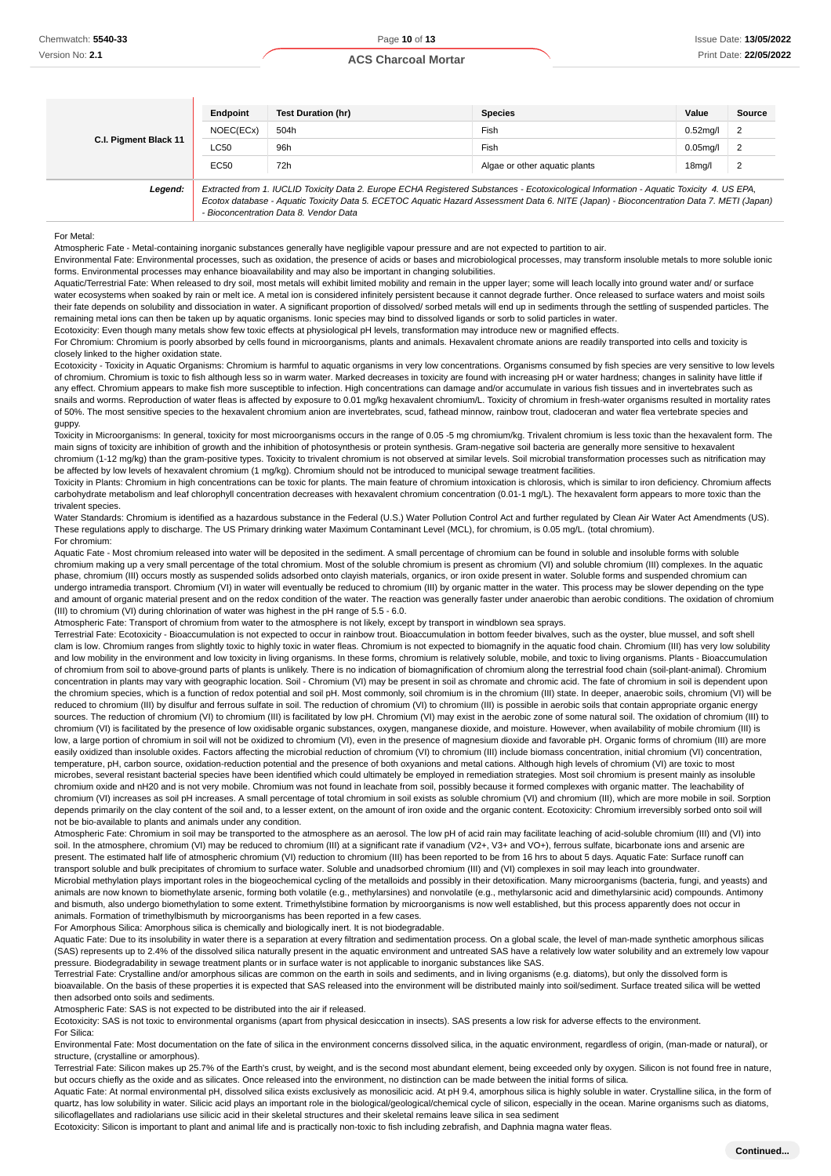| C.I. Pigment Black 11 | Endpoint  | Test Duration (hr)                                                                                                                                                                                                                                                                                                             | <b>Species</b>                | Value               | Source         |
|-----------------------|-----------|--------------------------------------------------------------------------------------------------------------------------------------------------------------------------------------------------------------------------------------------------------------------------------------------------------------------------------|-------------------------------|---------------------|----------------|
|                       | NOEC(ECx) | 504h                                                                                                                                                                                                                                                                                                                           | Fish                          | $0.52$ ma/l         | $\overline{2}$ |
|                       | LC50      | 96h                                                                                                                                                                                                                                                                                                                            | Fish                          | $0.05$ mg/l         | $\overline{2}$ |
|                       | EC50      | 72h                                                                                                                                                                                                                                                                                                                            | Algae or other aquatic plants | 18 <sub>mq</sub> /I | $\overline{2}$ |
| Legend:               |           | Extracted from 1. IUCLID Toxicity Data 2. Europe ECHA Registered Substances - Ecotoxicological Information - Aquatic Toxicity 4. US EPA,<br>Ecotox database - Aquatic Toxicity Data 5. ECETOC Aquatic Hazard Assessment Data 6. NITE (Japan) - Bioconcentration Data 7. METI (Japan)<br>- Bioconcentration Data 8. Vendor Data |                               |                     |                |

#### For Metal:

Atmospheric Fate - Metal-containing inorganic substances generally have negligible vapour pressure and are not expected to partition to air.

Environmental Fate: Environmental processes, such as oxidation, the presence of acids or bases and microbiological processes, may transform insoluble metals to more soluble ionic forms. Environmental processes may enhance bioavailability and may also be important in changing solubilities.

Aquatic/Terrestrial Fate: When released to dry soil, most metals will exhibit limited mobility and remain in the upper layer; some will leach locally into ground water and/ or surface water ecosystems when soaked by rain or melt ice. A metal ion is considered infinitely persistent because it cannot degrade further. Once released to surface waters and moist soils their fate depends on solubility and dissociation in water. A significant proportion of dissolved/ sorbed metals will end up in sediments through the settling of suspended particles. The remaining metal ions can then be taken up by aquatic organisms. Ionic species may bind to dissolved ligands or sorb to solid particles in water. Ecotoxicity: Even though many metals show few toxic effects at physiological pH levels, transformation may introduce new or magnified effects.

For Chromium: Chromium is poorly absorbed by cells found in microorganisms, plants and animals. Hexavalent chromate anions are readily transported into cells and toxicity is closely linked to the higher oxidation state.

Ecotoxicity - Toxicity in Aquatic Organisms: Chromium is harmful to aquatic organisms in very low concentrations. Organisms consumed by fish species are very sensitive to low levels of chromium. Chromium is toxic to fish although less so in warm water. Marked decreases in toxicity are found with increasing pH or water hardness; changes in salinity have little if any effect. Chromium appears to make fish more susceptible to infection. High concentrations can damage and/or accumulate in various fish tissues and in invertebrates such as snails and worms. Reproduction of water fleas is affected by exposure to 0.01 mg/kg hexavalent chromium/L. Toxicity of chromium in fresh-water organisms resulted in mortality rates of 50%. The most sensitive species to the hexavalent chromium anion are invertebrates, scud, fathead minnow, rainbow trout, cladoceran and water flea vertebrate species and guppy.

Toxicity in Microorganisms: In general, toxicity for most microorganisms occurs in the range of 0.05 -5 mg chromium/kg. Trivalent chromium is less toxic than the hexavalent form. The main signs of toxicity are inhibition of growth and the inhibition of photosynthesis or protein synthesis. Gram-negative soil bacteria are generally more sensitive to hexavalent chromium (1-12 mg/kg) than the gram-positive types. Toxicity to trivalent chromium is not observed at similar levels. Soil microbial transformation processes such as nitrification may be affected by low levels of hexavalent chromium (1 mg/kg). Chromium should not be introduced to municipal sewage treatment facilities

Toxicity in Plants: Chromium in high concentrations can be toxic for plants. The main feature of chromium intoxication is chlorosis, which is similar to iron deficiency. Chromium affects carbohydrate metabolism and leaf chlorophyll concentration decreases with hexavalent chromium concentration (0.01-1 mg/L). The hexavalent form appears to more toxic than the trivalent species.

Water Standards: Chromium is identified as a hazardous substance in the Federal (U.S.) Water Pollution Control Act and further regulated by Clean Air Water Act Amendments (US). These regulations apply to discharge. The US Primary drinking water Maximum Contaminant Level (MCL), for chromium, is 0.05 mg/L. (total chromium). For chromium:

Aquatic Fate - Most chromium released into water will be deposited in the sediment. A small percentage of chromium can be found in soluble and insoluble forms with soluble chromium making up a very small percentage of the total chromium. Most of the soluble chromium is present as chromium (VI) and soluble chromium (III) complexes. In the aquatic phase, chromium (III) occurs mostly as suspended solids adsorbed onto clayish materials, organics, or iron oxide present in water. Soluble forms and suspended chromium can undergo intramedia transport. Chromium (VI) in water will eventually be reduced to chromium (III) by organic matter in the water. This process may be slower depending on the type and amount of organic material present and on the redox condition of the water. The reaction was generally faster under anaerobic than aerobic conditions. The oxidation of chromium (III) to chromium (VI) during chlorination of water was highest in the pH range of 5.5 - 6.0.

Atmospheric Fate: Transport of chromium from water to the atmosphere is not likely, except by transport in windblown sea sprays.

Terrestrial Fate: Ecotoxicity - Bioaccumulation is not expected to occur in rainbow trout. Bioaccumulation in bottom feeder bivalves, such as the oyster, blue mussel, and soft shell clam is low. Chromium ranges from slightly toxic to highly toxic in water fleas. Chromium is not expected to biomagnify in the aquatic food chain. Chromium (III) has very low solubility and low mobility in the environment and low toxicity in living organisms. In these forms, chromium is relatively soluble, mobile, and toxic to living organisms. Plants - Bioaccumulation of chromium from soil to above-ground parts of plants is unlikely. There is no indication of biomagnification of chromium along the terrestrial food chain (soil-plant-animal). Chromium concentration in plants may vary with geographic location. Soil - Chromium (VI) may be present in soil as chromate and chromic acid. The fate of chromium in soil is dependent upon the chromium species, which is a function of redox potential and soil pH. Most commonly, soil chromium is in the chromium (III) state. In deeper, anaerobic soils, chromium (VI) will be reduced to chromium (III) by disulfur and ferrous sulfate in soil. The reduction of chromium (VI) to chromium (III) is possible in aerobic soils that contain appropriate organic energy sources. The reduction of chromium (VI) to chromium (III) is facilitated by low pH. Chromium (VI) may exist in the aerobic zone of some natural soil. The oxidation of chromium (III) to chromium (VI) is facilitated by the presence of low oxidisable organic substances, oxygen, manganese dioxide, and moisture. However, when availability of mobile chromium (III) is low, a large portion of chromium in soil will not be oxidized to chromium (VI), even in the presence of magnesium dioxide and favorable pH. Organic forms of chromium (III) are more easily oxidized than insoluble oxides. Factors affecting the microbial reduction of chromium (VI) to chromium (III) include biomass concentration, initial chromium (VI) concentration, temperature, pH, carbon source, oxidation-reduction potential and the presence of both oxyanions and metal cations. Although high levels of chromium (VI) are toxic to most microbes, several resistant bacterial species have been identified which could ultimately be employed in remediation strategies. Most soil chromium is present mainly as insoluble chromium oxide and nH20 and is not very mobile. Chromium was not found in leachate from soil, possibly because it formed complexes with organic matter. The leachability of chromium (VI) increases as soil pH increases. A small percentage of total chromium in soil exists as soluble chromium (VI) and chromium (III), which are more mobile in soil. Sorption depends primarily on the clay content of the soil and, to a lesser extent, on the amount of iron oxide and the organic content. Ecotoxicity: Chromium irreversibly sorbed onto soil will not be bio-available to plants and animals under any condition.

Atmospheric Fate: Chromium in soil may be transported to the atmosphere as an aerosol. The low pH of acid rain may facilitate leaching of acid-soluble chromium (III) and (VI) into soil. In the atmosphere, chromium (VI) may be reduced to chromium (III) at a significant rate if vanadium (V2+, V3+ and VO+), ferrous sulfate, bicarbonate ions and arsenic are present. The estimated half life of atmospheric chromium (VI) reduction to chromium (III) has been reported to be from 16 hrs to about 5 days. Aquatic Fate: Surface runoff can transport soluble and bulk precipitates of chromium to surface water. Soluble and unadsorbed chromium (III) and (VI) complexes in soil may leach into groundwater. Microbial methylation plays important roles in the biogeochemical cycling of the metalloids and possibly in their detoxification. Many microorganisms (bacteria, fungi, and yeasts) and animals are now known to biomethylate arsenic, forming both volatile (e.g., methylarsines) and nonvolatile (e.g., methylarsonic acid and dimethylarsinic acid) compounds. Antimony and bismuth, also undergo biomethylation to some extent. Trimethylstibine formation by microorganisms is now well established, but this process apparently does not occur in animals. Formation of trimethylbismuth by microorganisms has been reported in a few cases.

For Amorphous Silica: Amorphous silica is chemically and biologically inert. It is not biodegradable.

Aquatic Fate: Due to its insolubility in water there is a separation at every filtration and sedimentation process. On a global scale, the level of man-made synthetic amorphous silicas (SAS) represents up to 2.4% of the dissolved silica naturally present in the aquatic environment and untreated SAS have a relatively low water solubility and an extremely low vapour pressure. Biodegradability in sewage treatment plants or in surface water is not applicable to inorganic substances like SAS.

Terrestrial Fate: Crystalline and/or amorphous silicas are common on the earth in soils and sediments, and in living organisms (e.g. diatoms), but only the dissolved form is bioavailable. On the basis of these properties it is expected that SAS released into the environment will be distributed mainly into soil/sediment. Surface treated silica will be wetted then adsorbed onto soils and sediments.

Atmospheric Fate: SAS is not expected to be distributed into the air if released.

Ecotoxicity: SAS is not toxic to environmental organisms (apart from physical desiccation in insects). SAS presents a low risk for adverse effects to the environment. For Silica:

Environmental Fate: Most documentation on the fate of silica in the environment concerns dissolved silica, in the aquatic environment, regardless of origin, (man-made or natural), or structure, (crystalline or amorphous).

Terrestrial Fate: Silicon makes up 25.7% of the Earth's crust, by weight, and is the second most abundant element, being exceeded only by oxygen. Silicon is not found free in nature, but occurs chiefly as the oxide and as silicates. Once released into the environment, no distinction can be made between the initial forms of silica.

Aquatic Fate: At normal environmental pH, dissolved silica exists exclusively as monosilicic acid. At pH 9.4, amorphous silica is highly soluble in water. Crystalline silica, in the form of quartz, has low solubility in water. Silicic acid plays an important role in the biological/geological/chemical cycle of silicon, especially in the ocean. Marine organisms such as diatoms, silicoflagellates and radiolarians use silicic acid in their skeletal structures and their skeletal remains leave silica in sea sediment

Ecotoxicity: Silicon is important to plant and animal life and is practically non-toxic to fish including zebrafish, and Daphnia magna water fleas.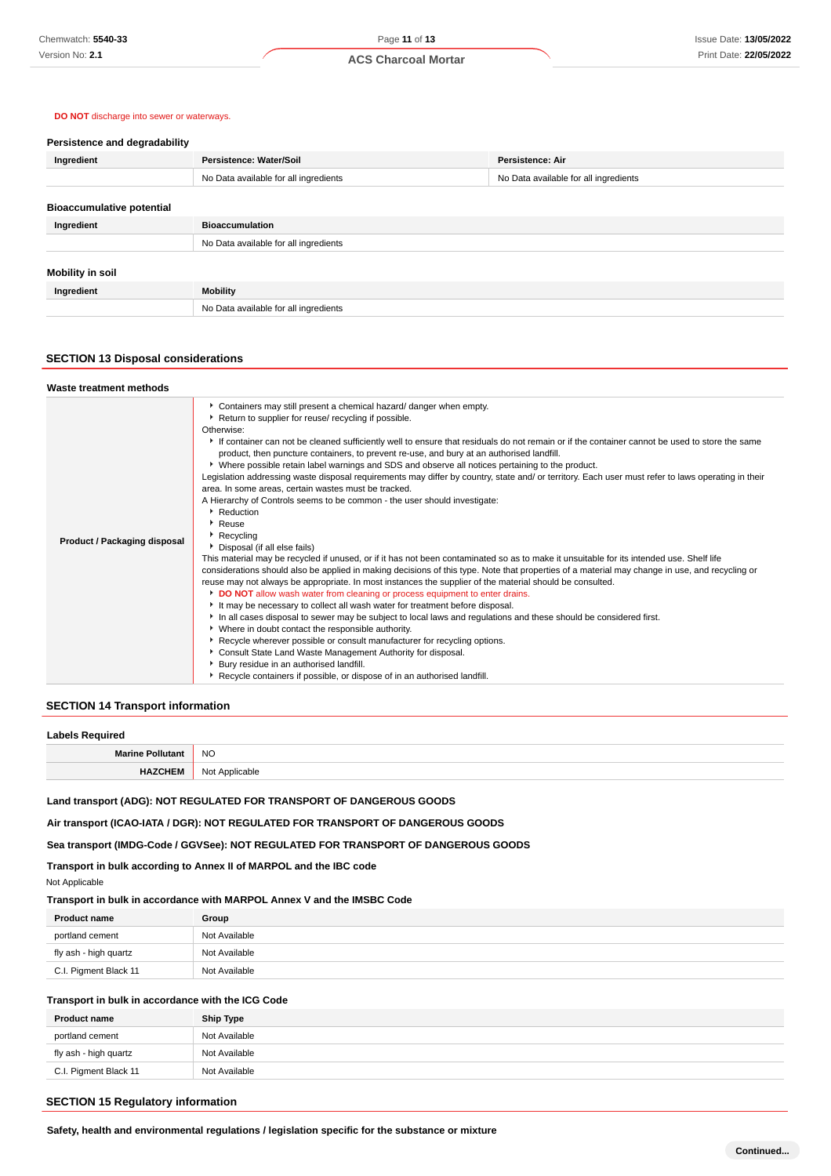#### **DO NOT** discharge into sewer or waterways.

| Persistence and degradability    |                                       |                                       |
|----------------------------------|---------------------------------------|---------------------------------------|
| Ingredient                       | Persistence: Water/Soil               | Persistence: Air                      |
|                                  | No Data available for all ingredients | No Data available for all ingredients |
|                                  |                                       |                                       |
| <b>Bioaccumulative potential</b> |                                       |                                       |
| Ingredient                       | <b>Bioaccumulation</b>                |                                       |
|                                  | No Data available for all ingredients |                                       |
|                                  |                                       |                                       |
| Mobility in soil                 |                                       |                                       |
| Ingredient                       | <b>Mobility</b>                       |                                       |
|                                  | No Data available for all ingredients |                                       |

## **SECTION 13 Disposal considerations**

| Waste treatment methods             |                                                                                                                                                                                                                                                                                                                                                                                                                                                                                                                                                                                                                                                                                                                                                                                                                                                                                                                                                                                                                                                                                                                                                                                                                                                                                                                                                                                                                                                                                                                                                                                                                                                                                                                                                                                                                                                                                         |
|-------------------------------------|-----------------------------------------------------------------------------------------------------------------------------------------------------------------------------------------------------------------------------------------------------------------------------------------------------------------------------------------------------------------------------------------------------------------------------------------------------------------------------------------------------------------------------------------------------------------------------------------------------------------------------------------------------------------------------------------------------------------------------------------------------------------------------------------------------------------------------------------------------------------------------------------------------------------------------------------------------------------------------------------------------------------------------------------------------------------------------------------------------------------------------------------------------------------------------------------------------------------------------------------------------------------------------------------------------------------------------------------------------------------------------------------------------------------------------------------------------------------------------------------------------------------------------------------------------------------------------------------------------------------------------------------------------------------------------------------------------------------------------------------------------------------------------------------------------------------------------------------------------------------------------------------|
| <b>Product / Packaging disposal</b> | Containers may still present a chemical hazard/ danger when empty.<br>Return to supplier for reuse/ recycling if possible.<br>Otherwise:<br>If container can not be cleaned sufficiently well to ensure that residuals do not remain or if the container cannot be used to store the same<br>product, then puncture containers, to prevent re-use, and bury at an authorised landfill.<br>Mere possible retain label warnings and SDS and observe all notices pertaining to the product.<br>Legislation addressing waste disposal requirements may differ by country, state and/ or territory. Each user must refer to laws operating in their<br>area. In some areas, certain wastes must be tracked.<br>A Hierarchy of Controls seems to be common - the user should investigate:<br>Reduction<br>$\cdot$ Reuse<br>Recycling<br>Disposal (if all else fails)<br>This material may be recycled if unused, or if it has not been contaminated so as to make it unsuitable for its intended use. Shelf life<br>considerations should also be applied in making decisions of this type. Note that properties of a material may change in use, and recycling or<br>reuse may not always be appropriate. In most instances the supplier of the material should be consulted.<br>DO NOT allow wash water from cleaning or process equipment to enter drains.<br>It may be necessary to collect all wash water for treatment before disposal.<br>In all cases disposal to sewer may be subject to local laws and regulations and these should be considered first.<br>• Where in doubt contact the responsible authority.<br>▶ Recycle wherever possible or consult manufacturer for recycling options.<br>Consult State Land Waste Management Authority for disposal.<br>Bury residue in an authorised landfill.<br>Recycle containers if possible, or dispose of in an authorised landfill. |

#### **SECTION 14 Transport information**

#### **Labels Required**

| NC.<br>$\sim$ |
|---------------|
| הוח           |

**Land transport (ADG): NOT REGULATED FOR TRANSPORT OF DANGEROUS GOODS**

**Air transport (ICAO-IATA / DGR): NOT REGULATED FOR TRANSPORT OF DANGEROUS GOODS**

**Sea transport (IMDG-Code / GGVSee): NOT REGULATED FOR TRANSPORT OF DANGEROUS GOODS**

**Transport in bulk according to Annex II of MARPOL and the IBC code**

Not Applicable

**Transport in bulk in accordance with MARPOL Annex V and the IMSBC Code**

| <b>Product name</b>   | Group         |
|-----------------------|---------------|
| portland cement       | Not Available |
| fly ash - high quartz | Not Available |
| C.I. Pigment Black 11 | Not Available |

## **Transport in bulk in accordance with the ICG Code**

| <b>Product name</b>   | <b>Ship Type</b> |
|-----------------------|------------------|
| portland cement       | Not Available    |
| fly ash - high quartz | Not Available    |
| C.I. Pigment Black 11 | Not Available    |

## **SECTION 15 Regulatory information**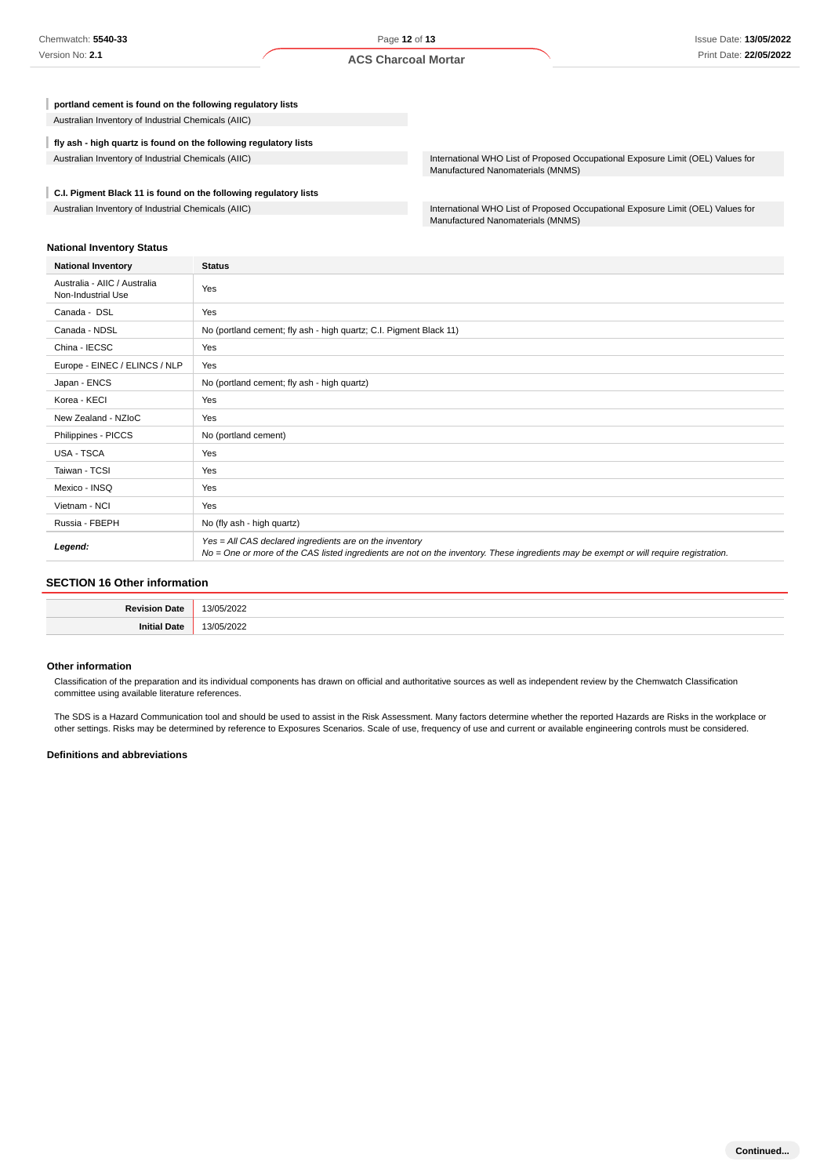**portland cement is found on the following regulatory lists** Australian Inventory of Industrial Chemicals (AIIC)

**fly ash - high quartz is found on the following regulatory lists**

**C.I. Pigment Black 11 is found on the following regulatory lists**

Australian Inventory of Industrial Chemicals (AIIC) **International WHO List of Proposed Occupational Exposure Limit (OEL)** Values for Manufactured Nanomaterials (MNMS)

Australian Inventory of Industrial Chemicals (AIIC) **International WHO List of Proposed Occupational Exposure Limit (OEL)** Values for Manufactured Nanomaterials (MNMS)

#### **National Inventory Status**

| <b>National Inventory</b>                          | <b>Status</b>                                                                                                                                                                                     |
|----------------------------------------------------|---------------------------------------------------------------------------------------------------------------------------------------------------------------------------------------------------|
| Australia - AIIC / Australia<br>Non-Industrial Use | Yes                                                                                                                                                                                               |
| Canada - DSL                                       | Yes                                                                                                                                                                                               |
| Canada - NDSL                                      | No (portland cement; fly ash - high quartz; C.I. Pigment Black 11)                                                                                                                                |
| China - IECSC                                      | Yes                                                                                                                                                                                               |
| Europe - EINEC / ELINCS / NLP                      | Yes                                                                                                                                                                                               |
| Japan - ENCS                                       | No (portland cement; fly ash - high quartz)                                                                                                                                                       |
| Korea - KECI                                       | Yes                                                                                                                                                                                               |
| New Zealand - NZIoC                                | Yes                                                                                                                                                                                               |
| Philippines - PICCS                                | No (portland cement)                                                                                                                                                                              |
| <b>USA - TSCA</b>                                  | Yes                                                                                                                                                                                               |
| Taiwan - TCSI                                      | Yes                                                                                                                                                                                               |
| Mexico - INSQ                                      | Yes                                                                                                                                                                                               |
| Vietnam - NCI                                      | Yes                                                                                                                                                                                               |
| Russia - FBEPH                                     | No (fly ash - high quartz)                                                                                                                                                                        |
| Legend:                                            | Yes = All CAS declared ingredients are on the inventory<br>No = One or more of the CAS listed ingredients are not on the inventory. These ingredients may be exempt or will require registration. |

#### **SECTION 16 Other information**

| D <sub>ou</sub><br>nate. | $\sim$ $\sim$ $\sim$<br>$\sim$<br>. . |
|--------------------------|---------------------------------------|
| 1ata<br>2 L C            | $\sim$<br>٠,                          |

#### **Other information**

Classification of the preparation and its individual components has drawn on official and authoritative sources as well as independent review by the Chemwatch Classification committee using available literature references.

The SDS is a Hazard Communication tool and should be used to assist in the Risk Assessment. Many factors determine whether the reported Hazards are Risks in the workplace or other settings. Risks may be determined by reference to Exposures Scenarios. Scale of use, frequency of use and current or available engineering controls must be considered.

#### **Definitions and abbreviations**